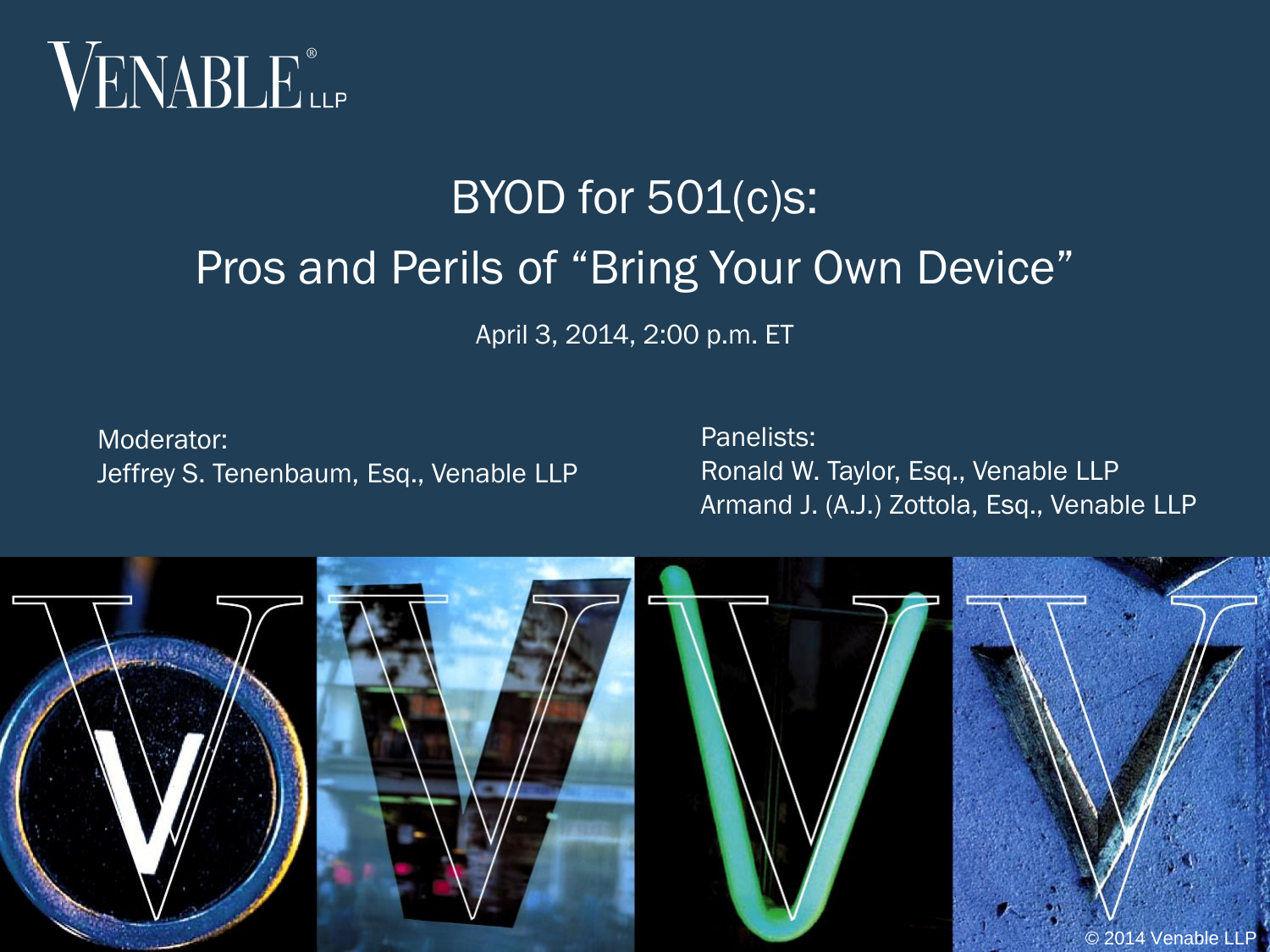

# BYOD for 501(c)s: Pros and Perils of "Bring Your Own Device"

April 3, 2014, 2:00 p.m. ET

Moderator: Jeffrey S. Tenenbaum, Esq., Venable LLP

Panelists: Ronald W. Taylor, Esq., Venable LLP Armand J. (A.J.) Zottola, Esq., Venable LLP

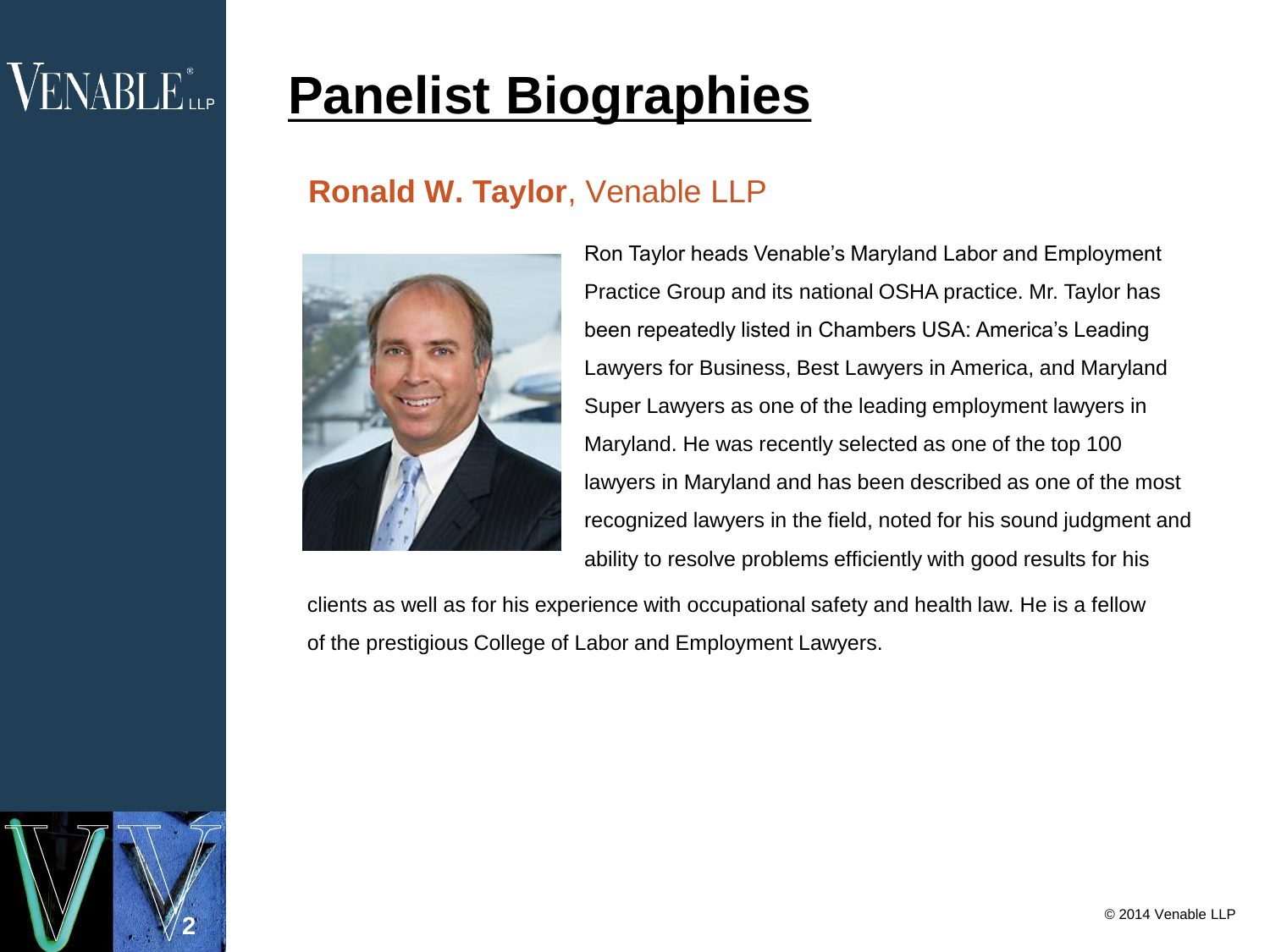## $VENABLE$

## **Panelist Biographies**

#### **Ronald W. Taylor**, Venable LLP



Ron Taylor heads Venable's Maryland Labor and Employment Practice Group and its national OSHA practice. Mr. Taylor has been repeatedly listed in Chambers USA: America's Leading Lawyers for Business, Best Lawyers in America, and Maryland Super Lawyers as one of the leading employment lawyers in Maryland. He was recently selected as one of the top 100 lawyers in Maryland and has been described as one of the most recognized lawyers in the field, noted for his sound judgment and ability to resolve problems efficiently with good results for his

clients as well as for his experience with occupational safety and health law. He is a fellow of the prestigious College of Labor and Employment Lawyers.

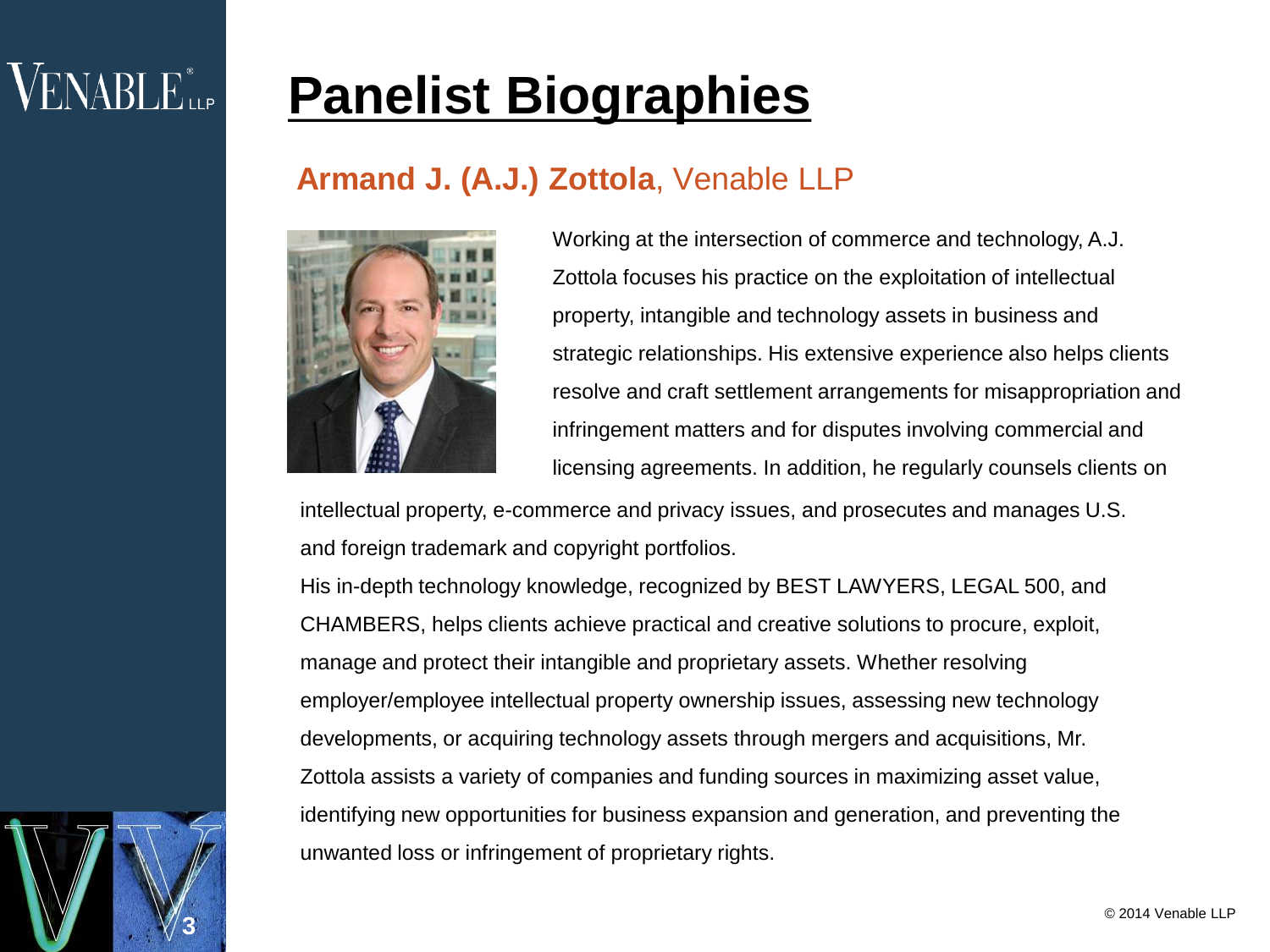## $VENABLE$

**3**

## **Panelist Biographies**

#### **Armand J. (A.J.) Zottola**, Venable LLP



Working at the intersection of commerce and technology, A.J. Zottola focuses his practice on the exploitation of intellectual property, intangible and technology assets in business and strategic relationships. His extensive experience also helps clients resolve and craft settlement arrangements for misappropriation and infringement matters and for disputes involving commercial and licensing agreements. In addition, he regularly counsels clients on

intellectual property, e-commerce and privacy issues, and prosecutes and manages U.S. and foreign trademark and copyright portfolios.

His in-depth technology knowledge, recognized by BEST LAWYERS, LEGAL 500, and CHAMBERS, helps clients achieve practical and creative solutions to procure, exploit, manage and protect their intangible and proprietary assets. Whether resolving employer/employee intellectual property ownership issues, assessing new technology developments, or acquiring technology assets through mergers and acquisitions, Mr. Zottola assists a variety of companies and funding sources in maximizing asset value, identifying new opportunities for business expansion and generation, and preventing the unwanted loss or infringement of proprietary rights.

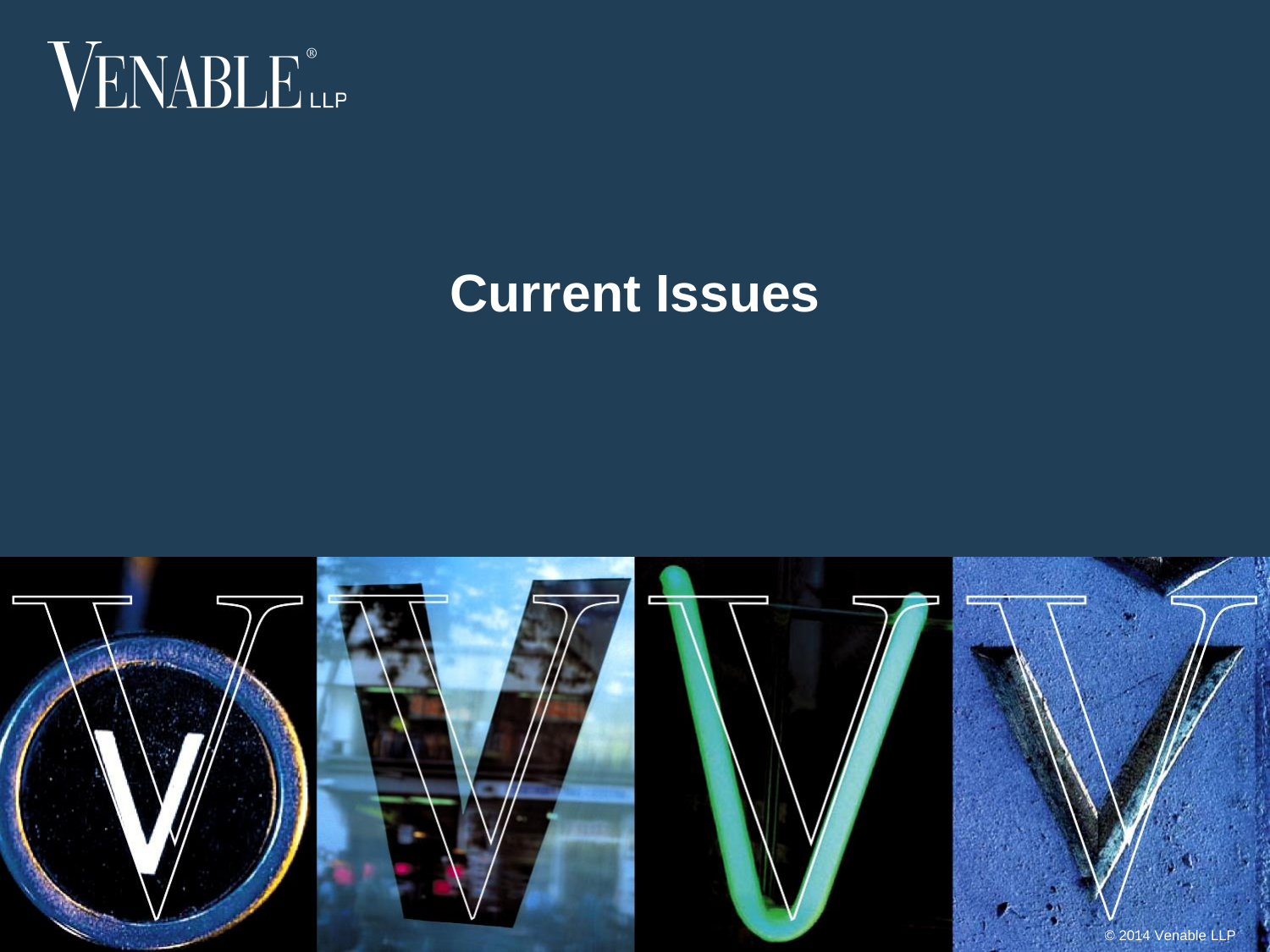

### **Current Issues**

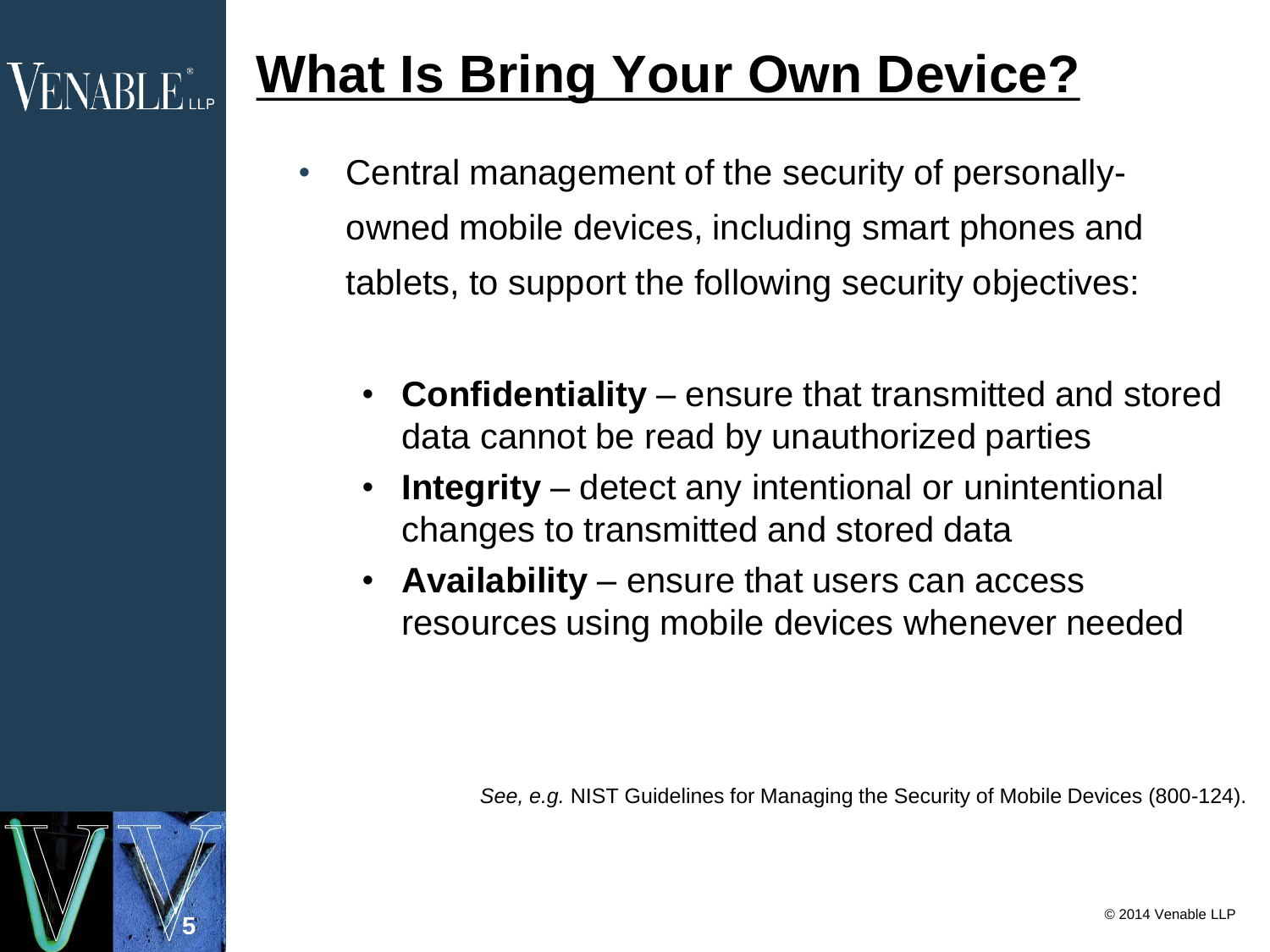## **What Is Bring Your Own Device?**

- Central management of the security of personallyowned mobile devices, including smart phones and tablets, to support the following security objectives:
	- **Confidentiality** ensure that transmitted and stored data cannot be read by unauthorized parties
	- **Integrity** detect any intentional or unintentional changes to transmitted and stored data
	- **Availability** ensure that users can access resources using mobile devices whenever needed

*See, e.g.* NIST Guidelines for Managing the Security of Mobile Devices (800-124).

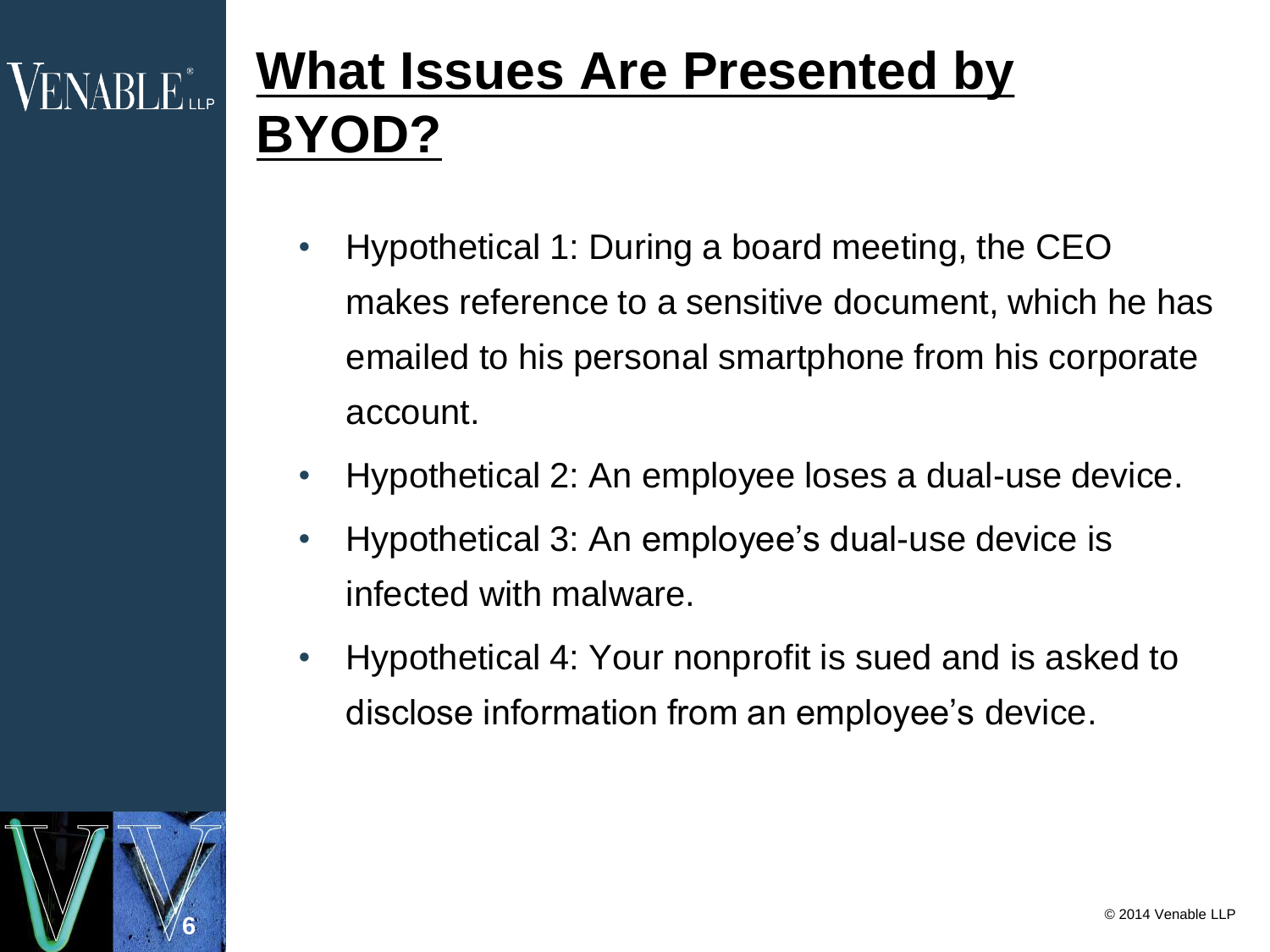# **What Issues Are Presented by BYOD?**

- Hypothetical 1: During a board meeting, the CEO makes reference to a sensitive document, which he has emailed to his personal smartphone from his corporate account.
- Hypothetical 2: An employee loses a dual-use device.
- Hypothetical 3: An employee's dual-use device is infected with malware.
- Hypothetical 4: Your nonprofit is sued and is asked to disclose information from an employee's device.

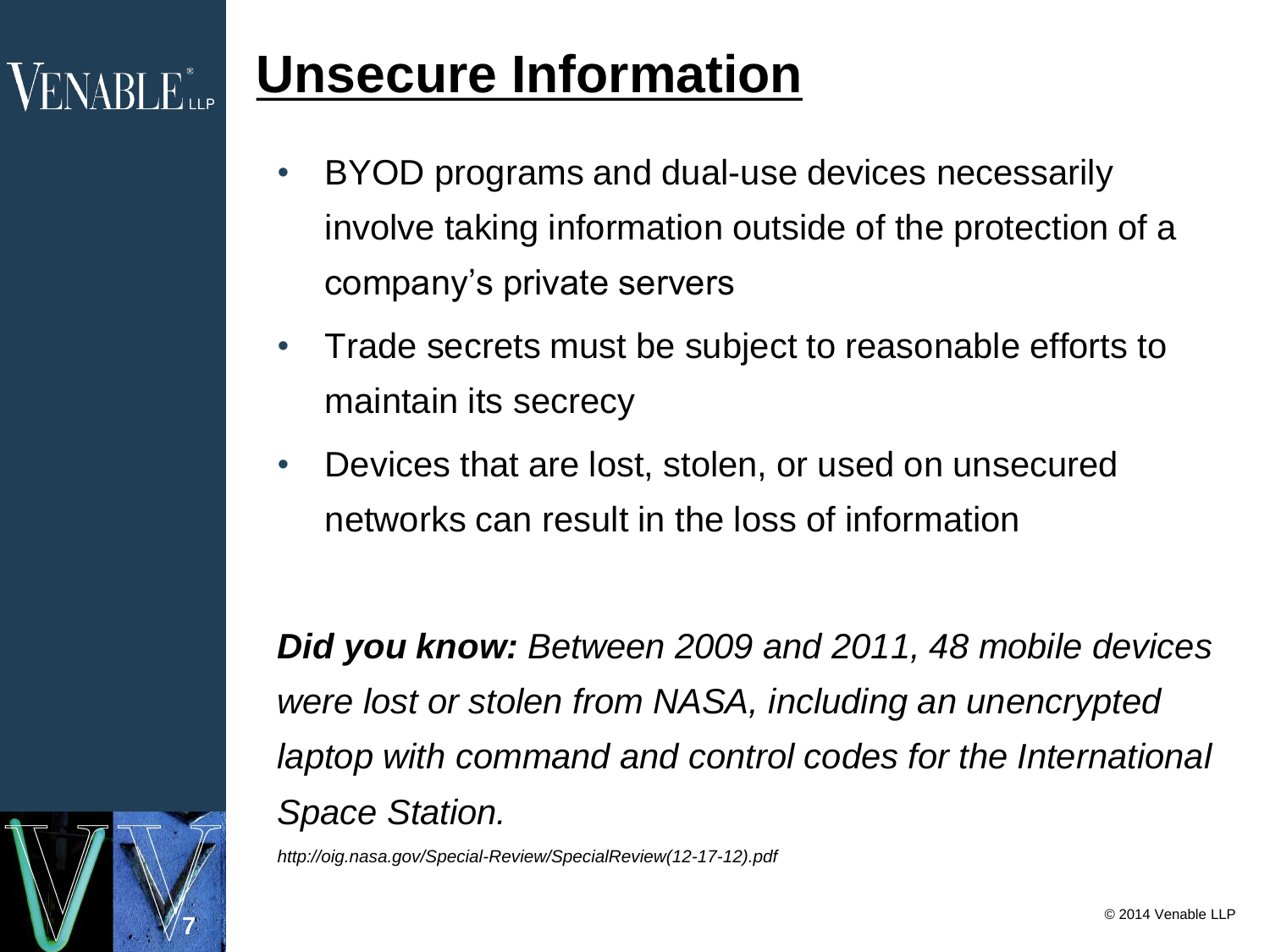## **Unsecure Information**

- BYOD programs and dual-use devices necessarily involve taking information outside of the protection of a company's private servers
- Trade secrets must be subject to reasonable efforts to maintain its secrecy
- Devices that are lost, stolen, or used on unsecured networks can result in the loss of information

*Did you know: Between 2009 and 2011, 48 mobile devices were lost or stolen from NASA, including an unencrypted laptop with command and control codes for the International Space Station.*

*http://oig.nasa.gov/Special-Review/SpecialReview(12-17-12).pdf*

**7**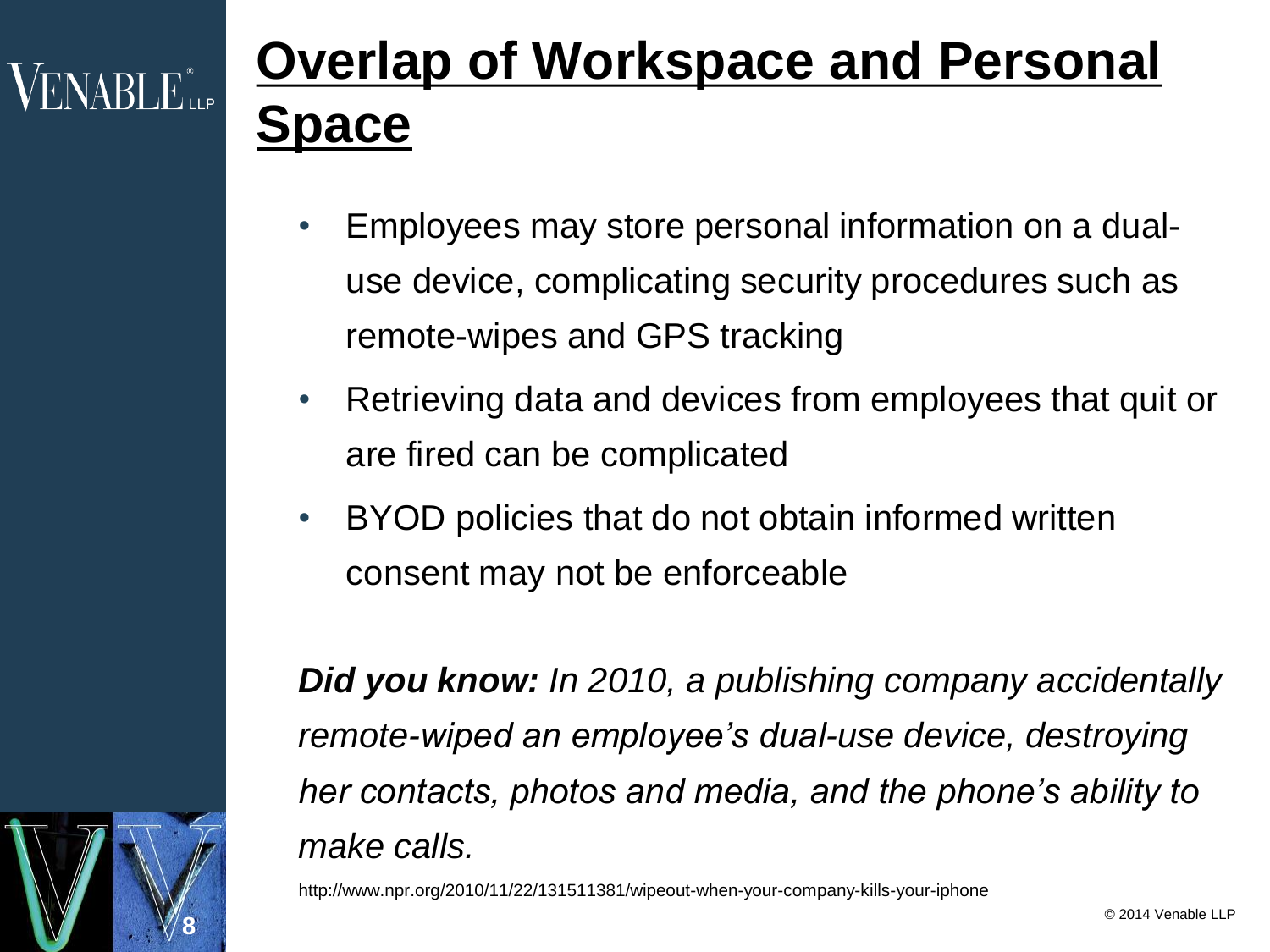# VENABLE...

**8**

# **Overlap of Workspace and Personal**  pace

- Employees may store personal information on a dualuse device, complicating security procedures such as remote-wipes and GPS tracking
- Retrieving data and devices from employees that quit or are fired can be complicated
- BYOD policies that do not obtain informed written consent may not be enforceable

*Did you know: In 2010, a publishing company accidentally remote-wiped an employee's dual-use device, destroying her contacts, photos and media, and the phone's ability to make calls.*

http://www.npr.org/2010/11/22/131511381/wipeout-when-your-company-kills-your-iphone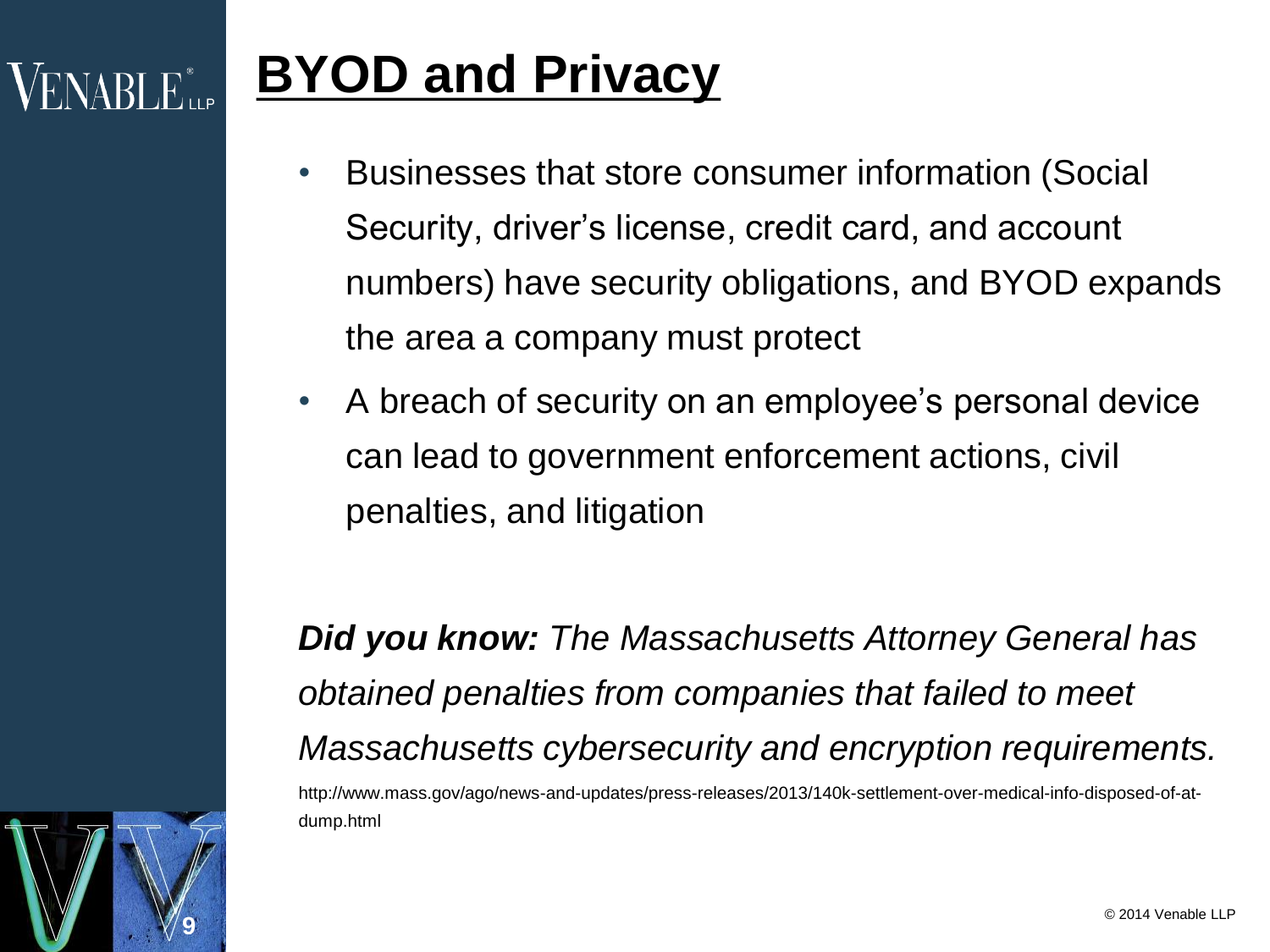## **BYOD and Privacy**

**9**

**VENABLE** 

- Businesses that store consumer information (Social Security, driver's license, credit card, and account numbers) have security obligations, and BYOD expands the area a company must protect
- A breach of security on an employee's personal device can lead to government enforcement actions, civil penalties, and litigation

*Did you know: The Massachusetts Attorney General has obtained penalties from companies that failed to meet Massachusetts cybersecurity and encryption requirements.* http://www.mass.gov/ago/news-and-updates/press-releases/2013/140k-settlement-over-medical-info-disposed-of-atdump.html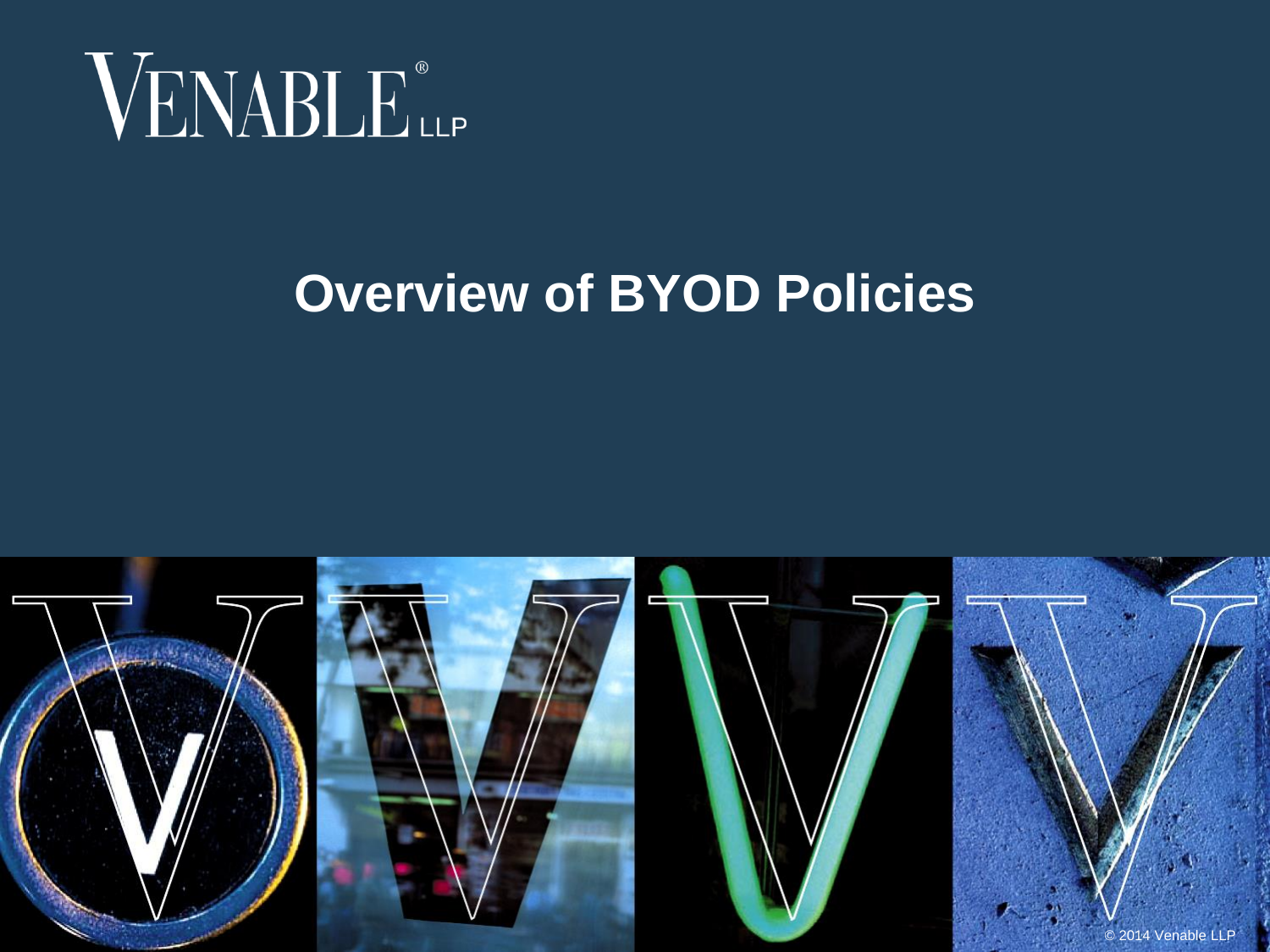

#### **Overview of BYOD Policies**

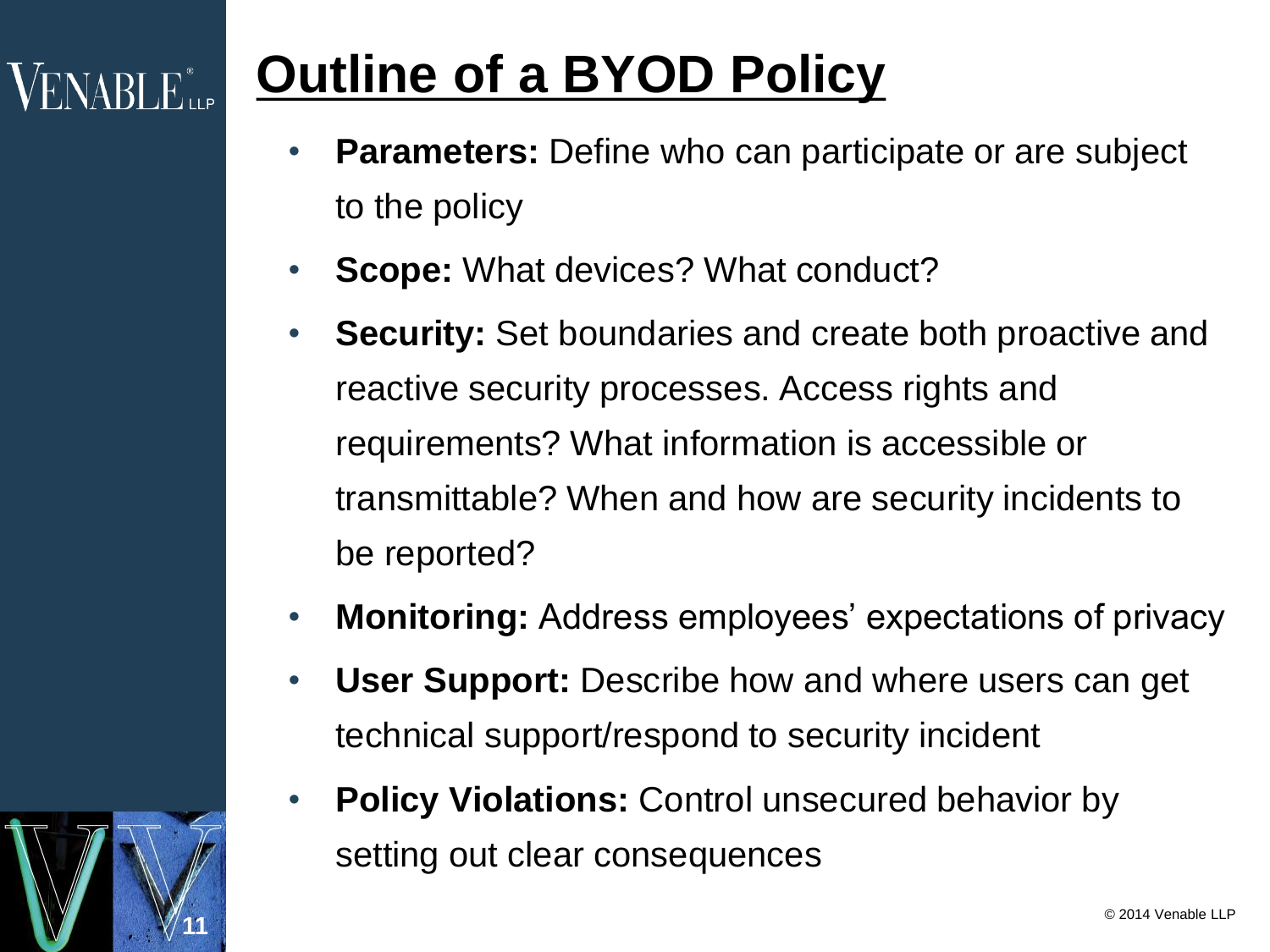# **Outline of a BYOD Policy**

- **Parameters:** Define who can participate or are subject to the policy
- **Scope:** What devices? What conduct?
- **Security:** Set boundaries and create both proactive and reactive security processes. Access rights and requirements? What information is accessible or transmittable? When and how are security incidents to be reported?
- **Monitoring:** Address employees' expectations of privacy
- **User Support:** Describe how and where users can get technical support/respond to security incident
- **Policy Violations:** Control unsecured behavior by setting out clear consequences



 $\mathsf{VENABI}\, \mathsf{E}_{\mathsf{up}}^*$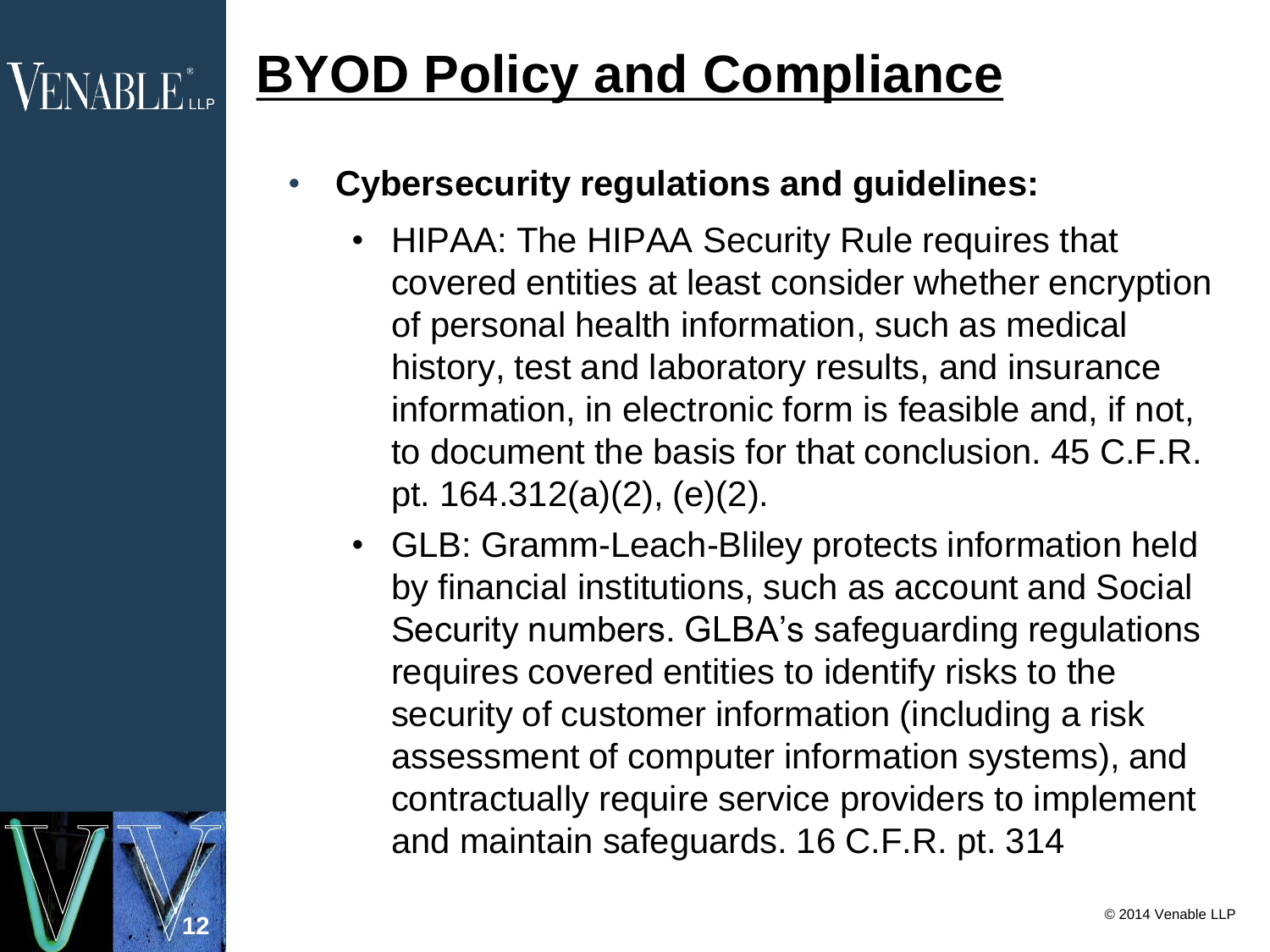# **BYOD Policy and Compliance**

**12**

**VENABLE** LLP

#### • **Cybersecurity regulations and guidelines:**

- HIPAA: The HIPAA Security Rule requires that covered entities at least consider whether encryption of personal health information, such as medical history, test and laboratory results, and insurance information, in electronic form is feasible and, if not, to document the basis for that conclusion. 45 C.F.R. pt. 164.312(a)(2), (e)(2).
- GLB: Gramm-Leach-Bliley protects information held by financial institutions, such as account and Social Security numbers. GLBA's safeguarding regulations requires covered entities to identify risks to the security of customer information (including a risk assessment of computer information systems), and contractually require service providers to implement and maintain safeguards. 16 C.F.R. pt. 314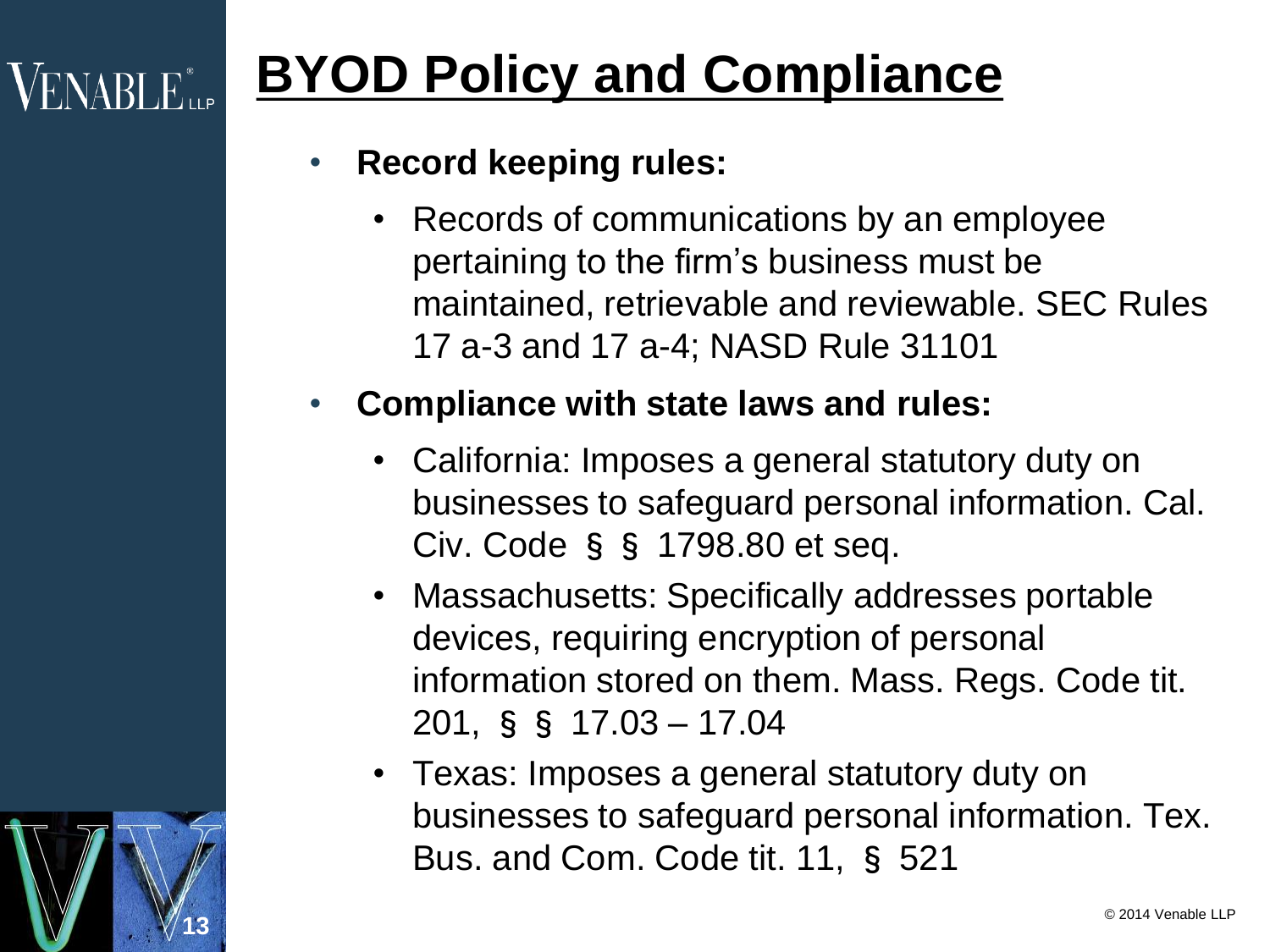## **BYOD Policy and Compliance**

#### • **Record keeping rules:**

**13**

**VENABLE** 

• Records of communications by an employee pertaining to the firm's business must be maintained, retrievable and reviewable. SEC Rules 17 a-3 and 17 a-4; NASD Rule 31101

#### • **Compliance with state laws and rules:**

- California: Imposes a general statutory duty on businesses to safeguard personal information. Cal. Civ. Code §§ 1798.80 et seq.
- Massachusetts: Specifically addresses portable devices, requiring encryption of personal information stored on them. Mass. Regs. Code tit. 201, §§ 17.03 – 17.04
- Texas: Imposes a general statutory duty on businesses to safeguard personal information. Tex. Bus. and Com. Code tit. 11, § 521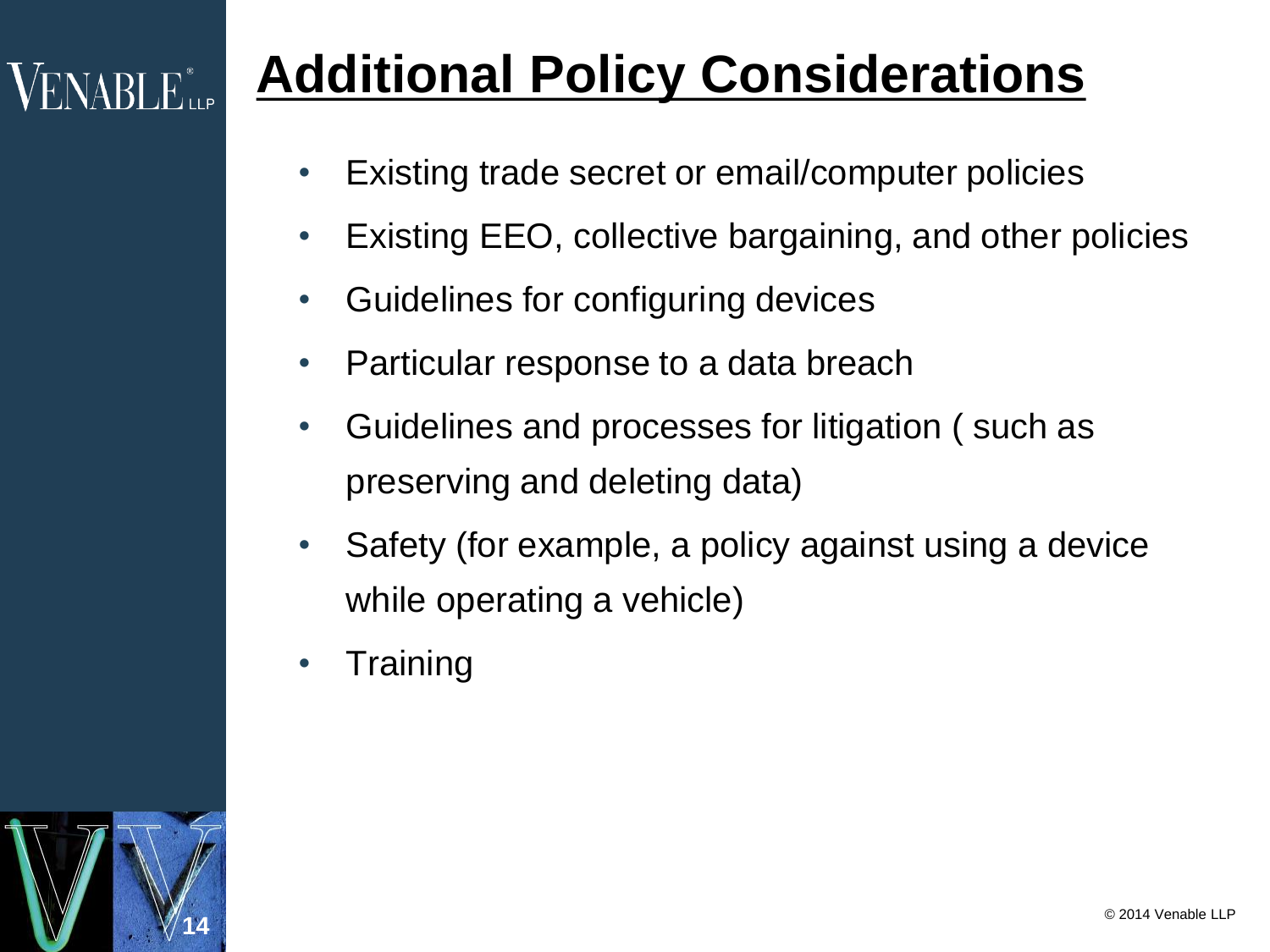## **Additional Policy Considerations**

- Existing trade secret or email/computer policies
- Existing EEO, collective bargaining, and other policies
- Guidelines for configuring devices
- Particular response to a data breach
- Guidelines and processes for litigation ( such as preserving and deleting data)
- Safety (for example, a policy against using a device while operating a vehicle)
- **Training**

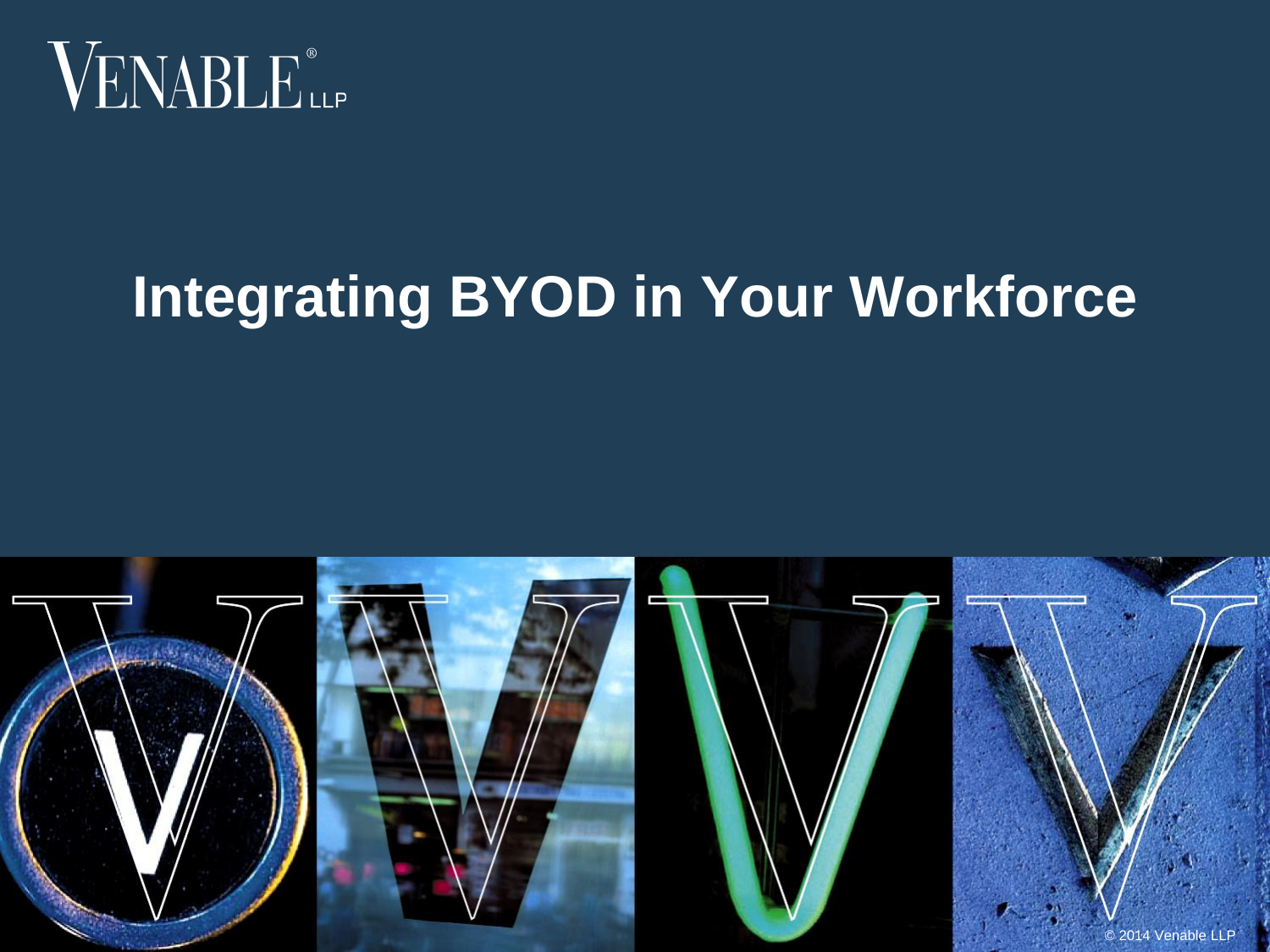

# **Integrating BYOD in Your Workforce**

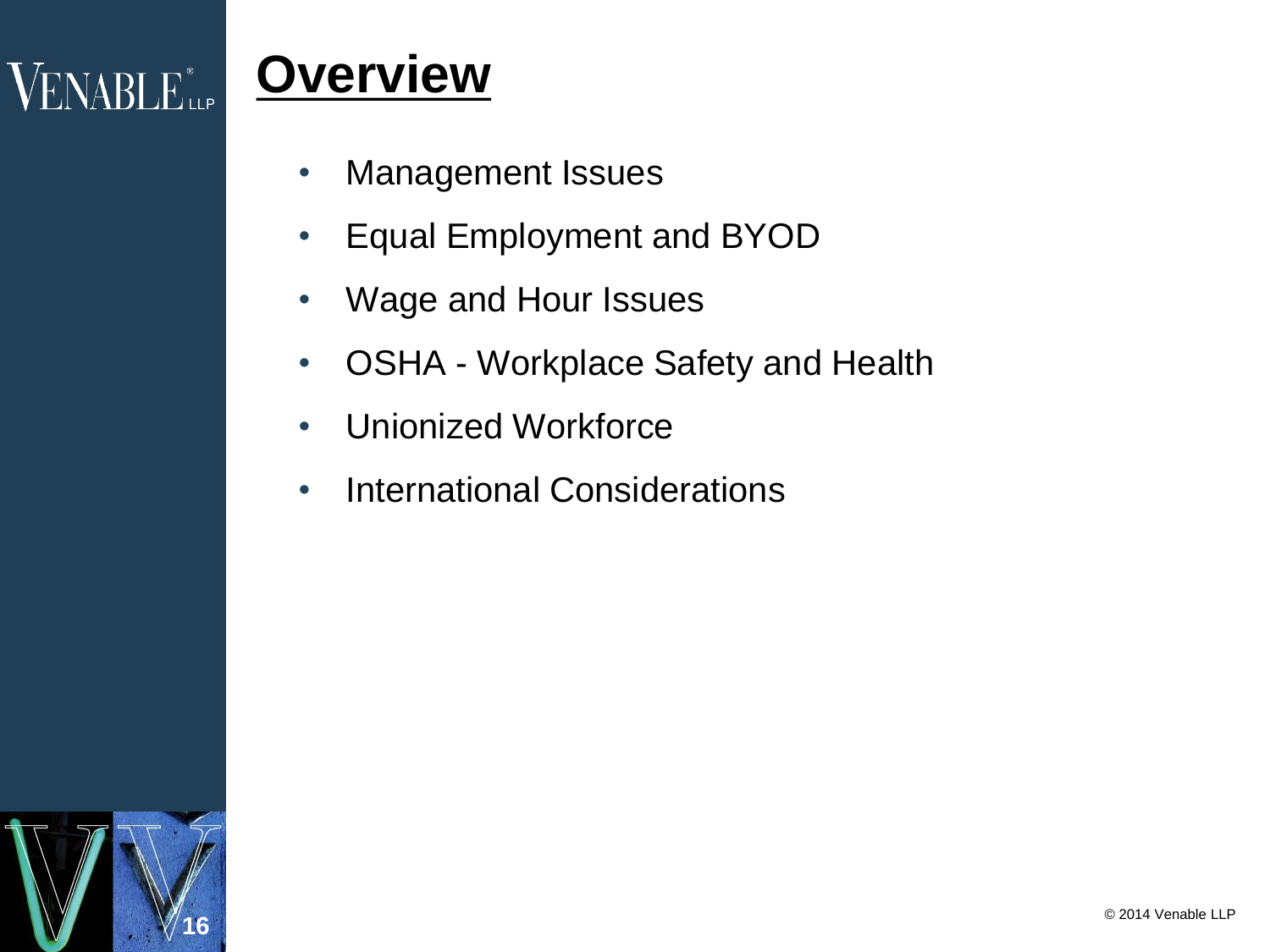# VENABLE<sup>®</sup>LLP

#### **Overview**

- Management Issues
- Equal Employment and BYOD
- Wage and Hour Issues
- OSHA Workplace Safety and Health
- Unionized Workforce
- International Considerations

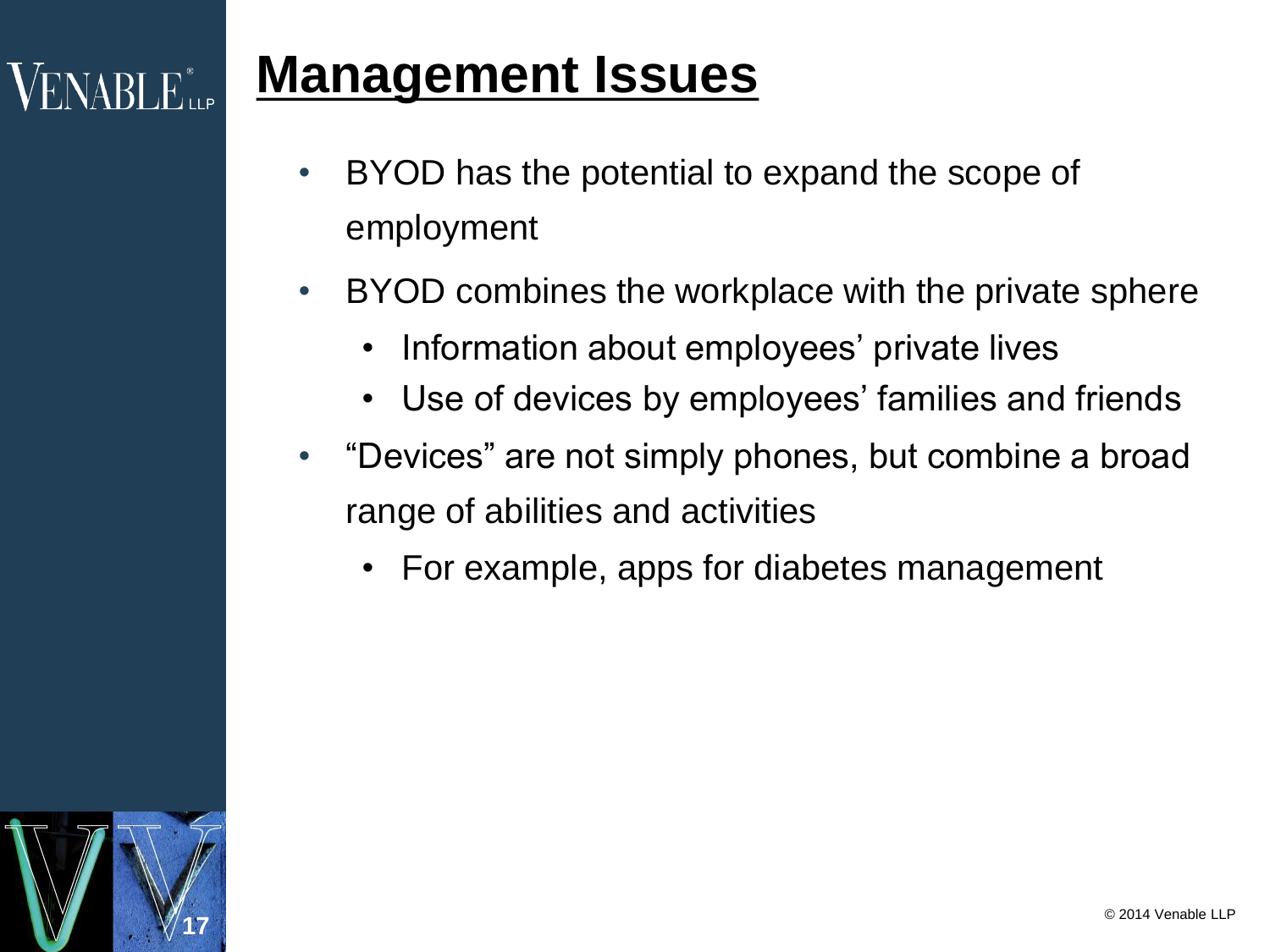### **Management Issues**

- BYOD has the potential to expand the scope of employment
- BYOD combines the workplace with the private sphere
	- Information about employees' private lives
	- Use of devices by employees' families and friends
- "Devices" are not simply phones, but combine a broad range of abilities and activities
	- For example, apps for diabetes management



 $\mathsf{VENABI}\_\mathsf{Lip}^*$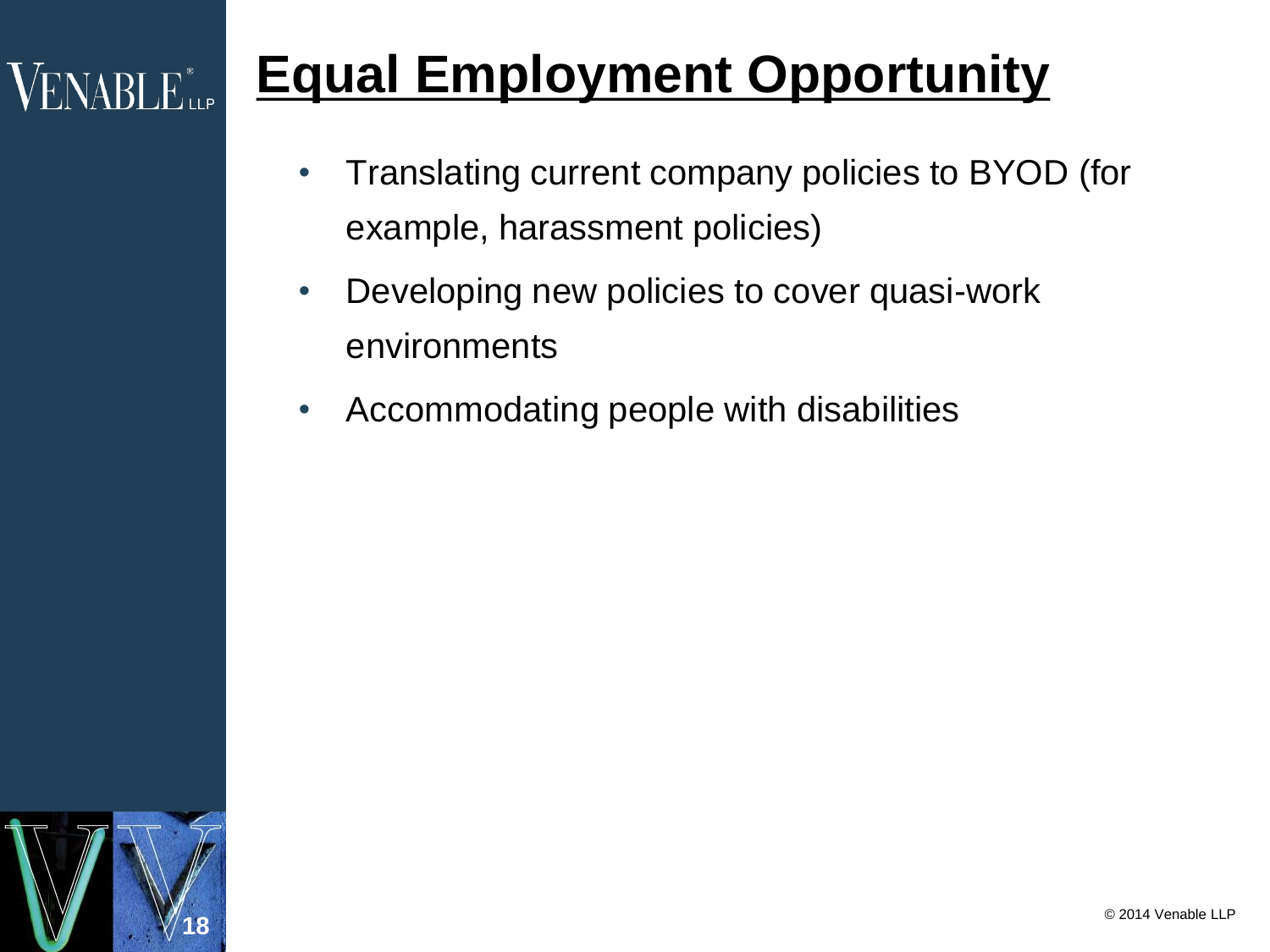## **Equal Employment Opportunity**

- Translating current company policies to BYOD (for example, harassment policies)
- Developing new policies to cover quasi-work environments
- Accommodating people with disabilities



 $VENABI$   $E_{\text{use}}$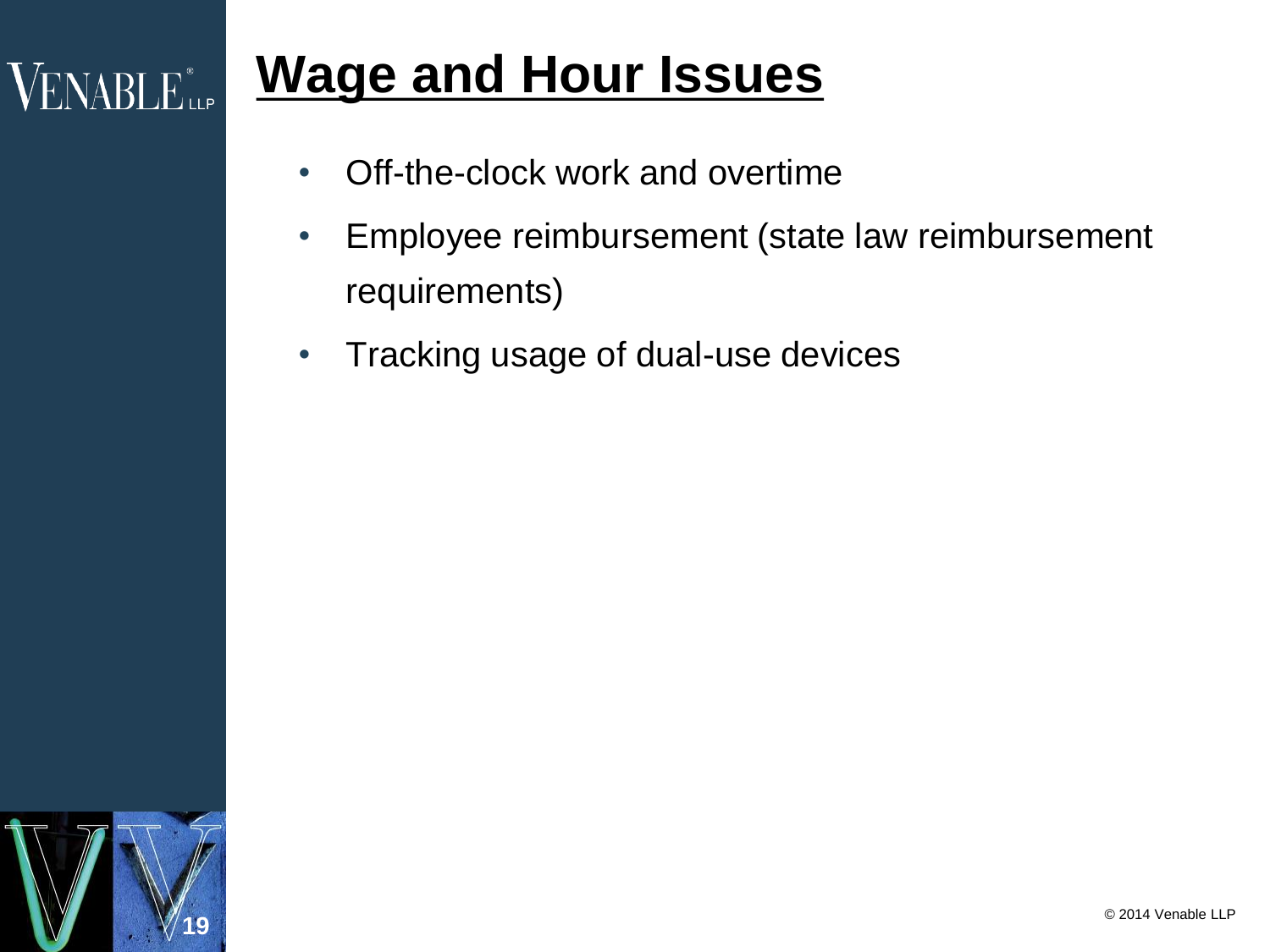### **Wage and Hour Issues**

- Off-the-clock work and overtime
- Employee reimbursement (state law reimbursement requirements)
- Tracking usage of dual-use devices



**VENABLE** LLP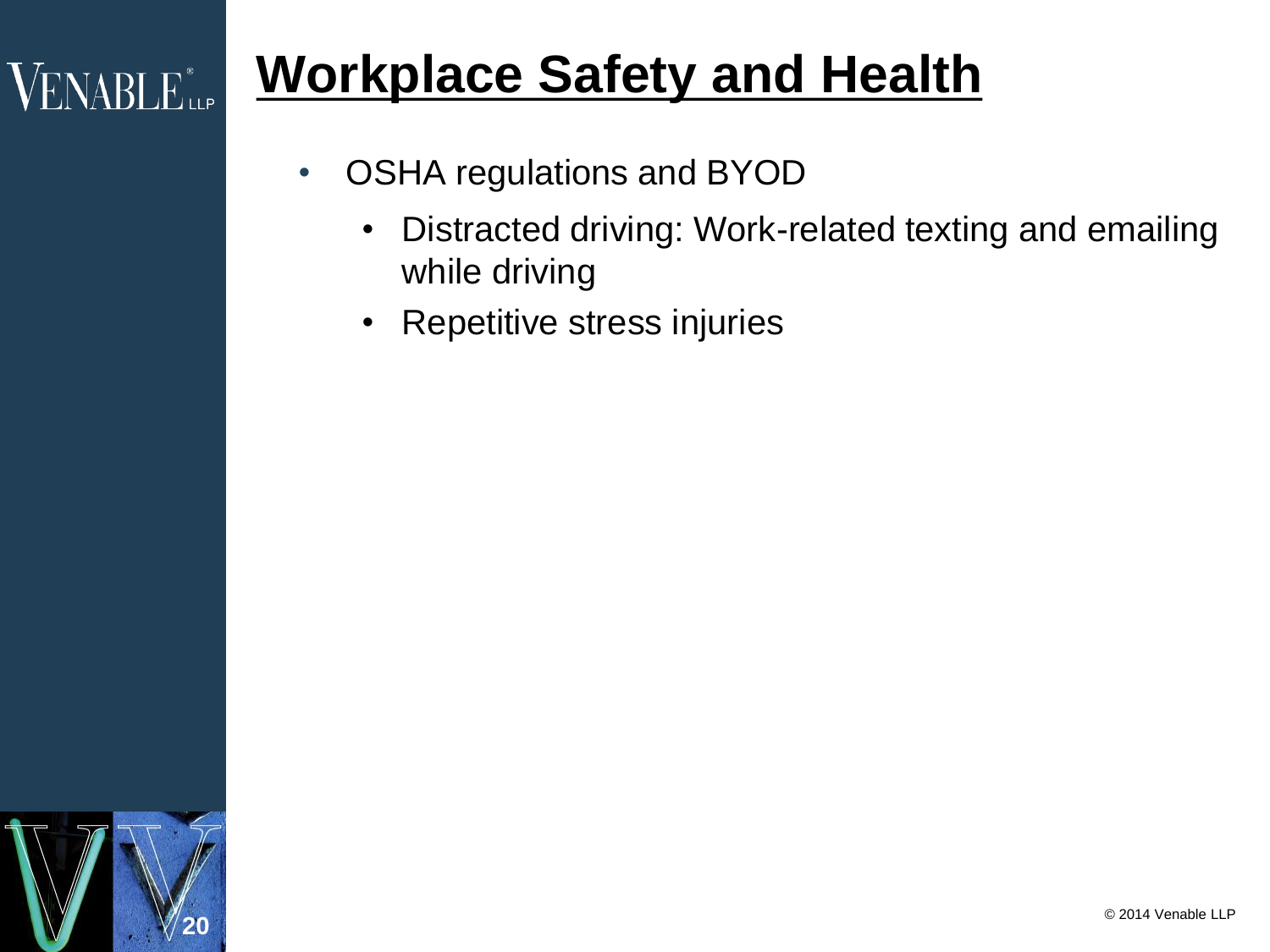## **Workplace Safety and Health**

- OSHA regulations and BYOD
	- Distracted driving: Work-related texting and emailing while driving
	- Repetitive stress injuries



VENABLE<sup>®</sup>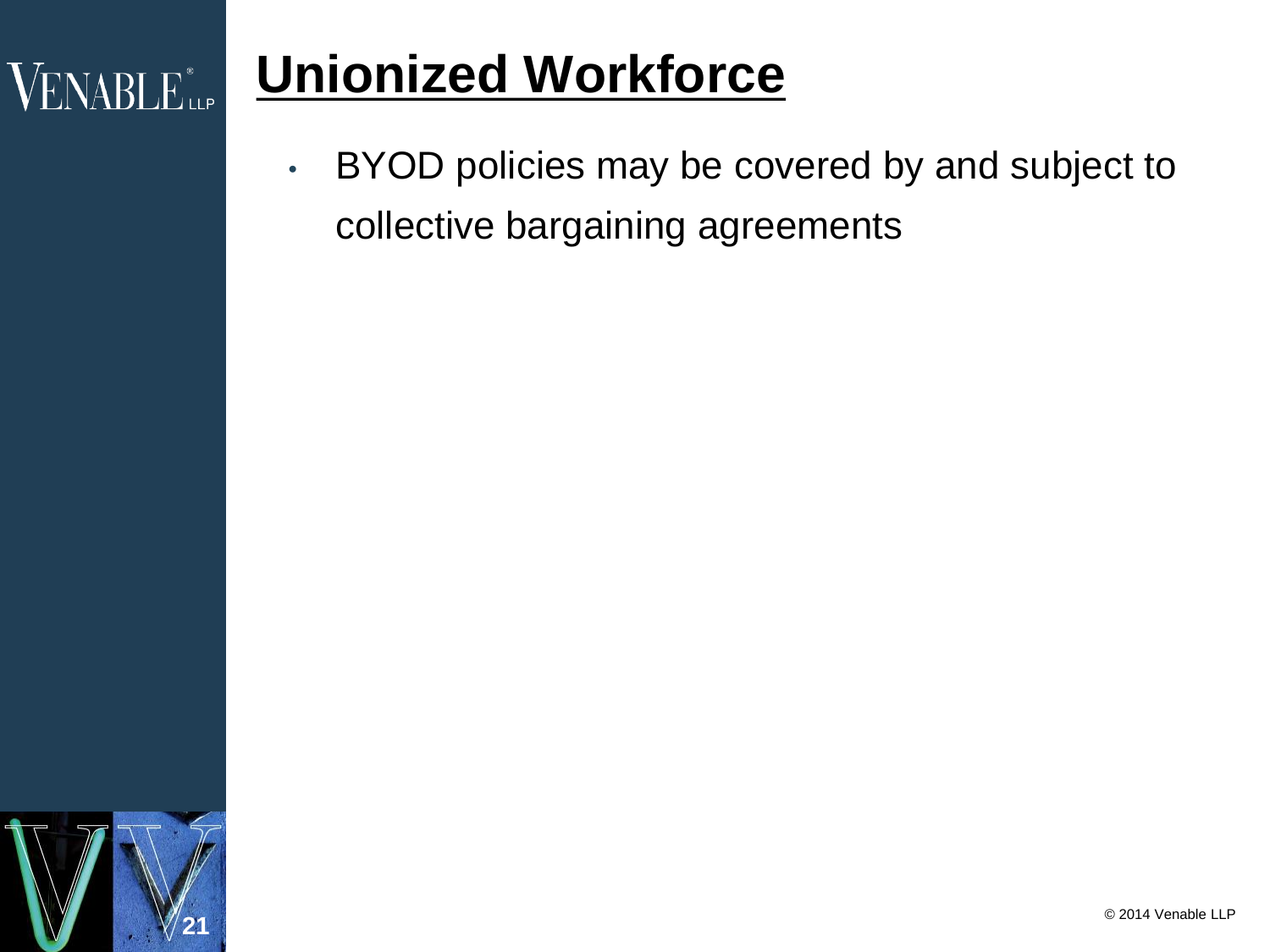## **Unionized Workforce**

• BYOD policies may be covered by and subject to collective bargaining agreements



**VENABLE** LLP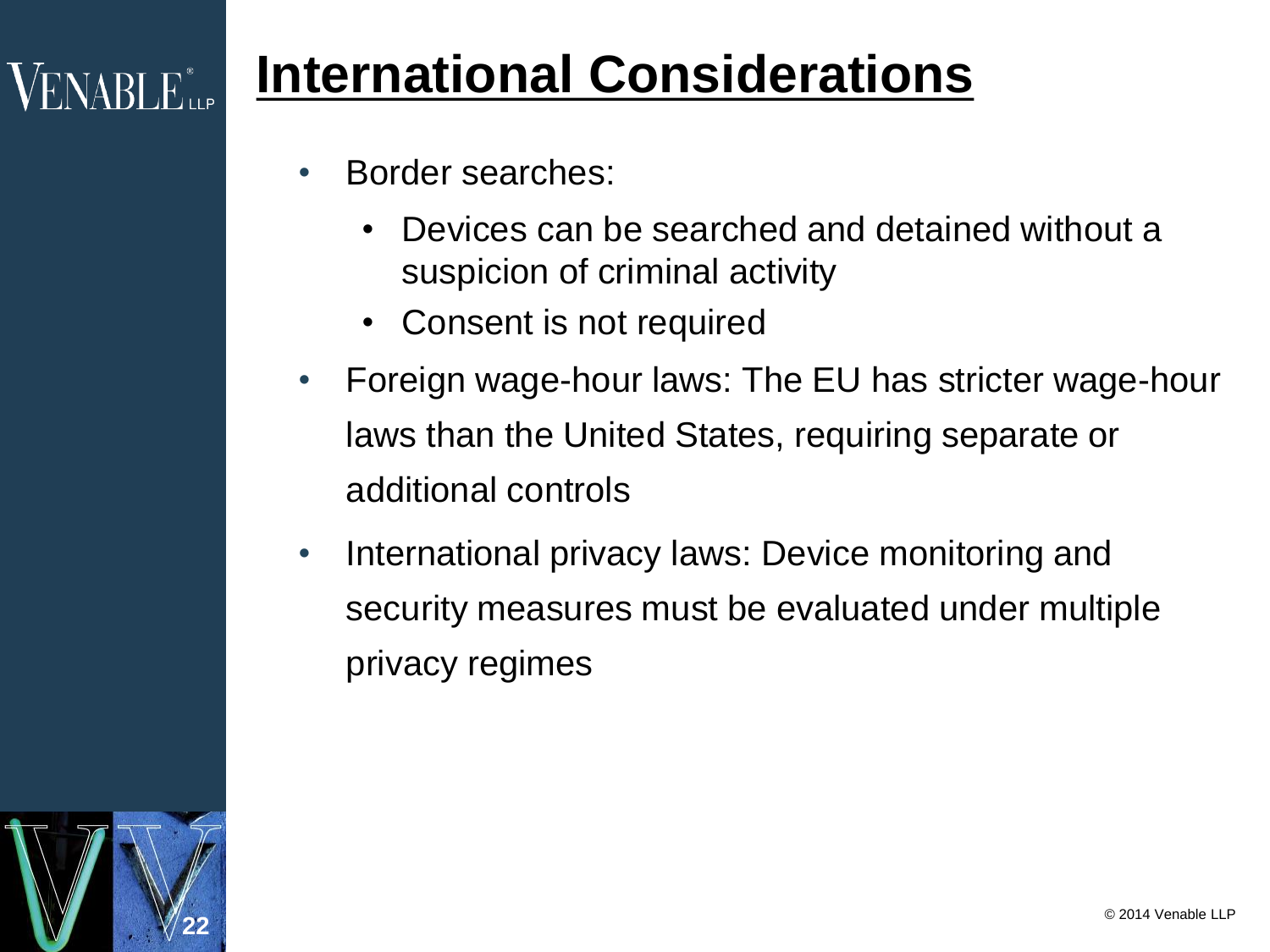## **International Considerations**

- Border searches:
	- Devices can be searched and detained without a suspicion of criminal activity
	- Consent is not required
- Foreign wage-hour laws: The EU has stricter wage-hour laws than the United States, requiring separate or additional controls
- International privacy laws: Device monitoring and security measures must be evaluated under multiple privacy regimes



 $\sf{VENABLE}^*$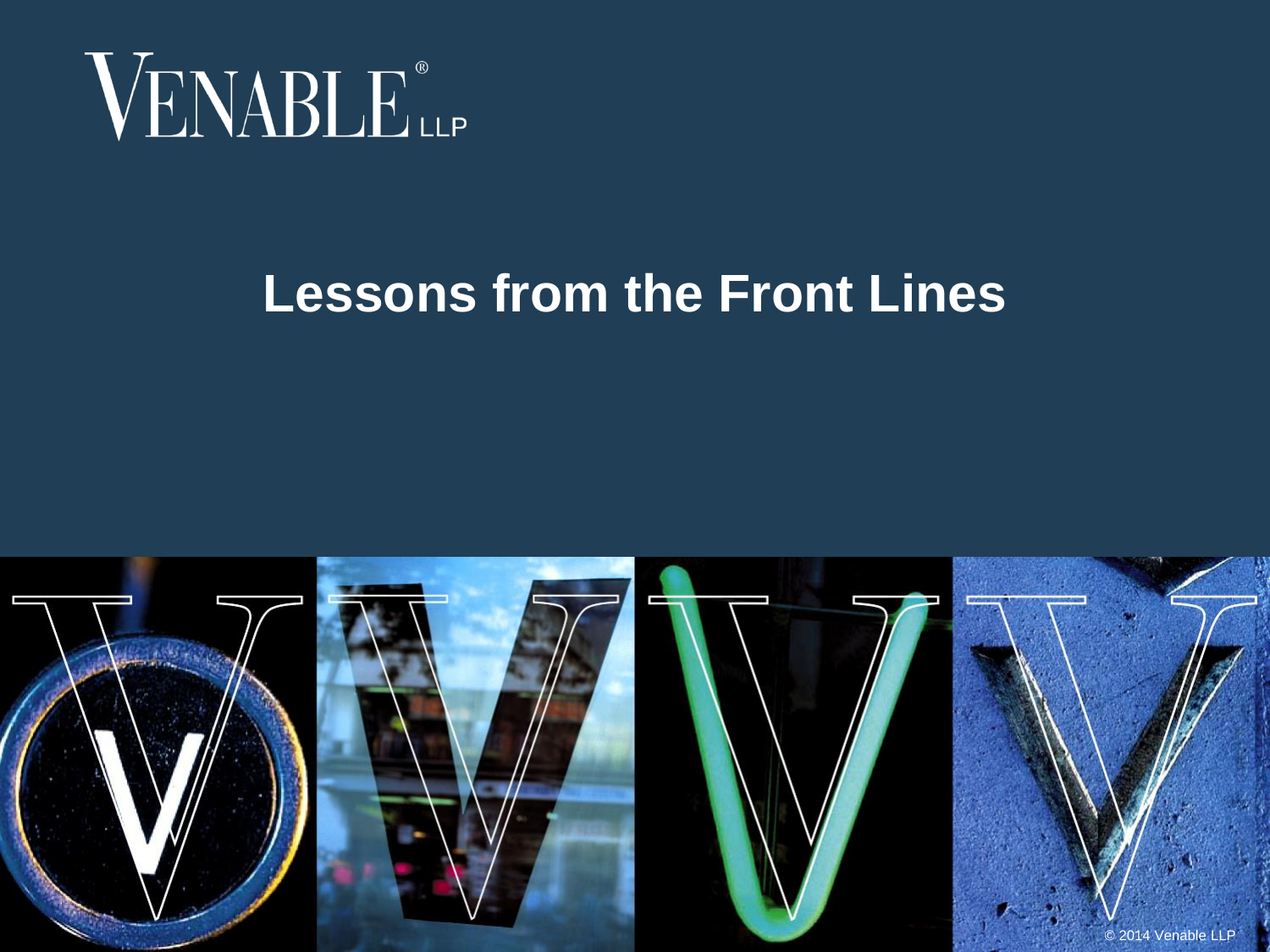

### **Lessons from the Front Lines**

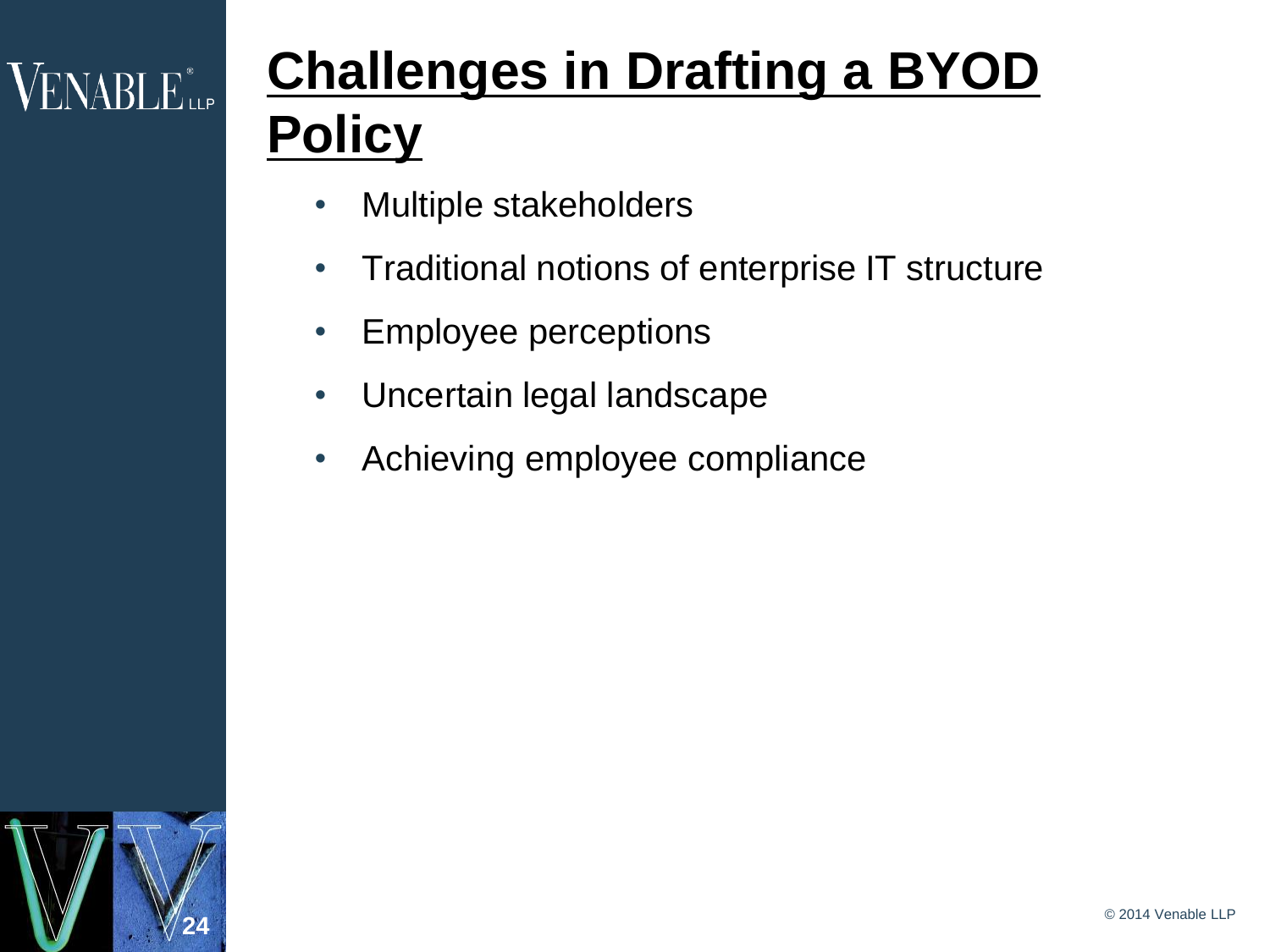# VENABLE<sup>®</sup>LLP

# **Challenges in Drafting a BYOD Policy**

- Multiple stakeholders
- Traditional notions of enterprise IT structure
- Employee perceptions
- Uncertain legal landscape
- Achieving employee compliance

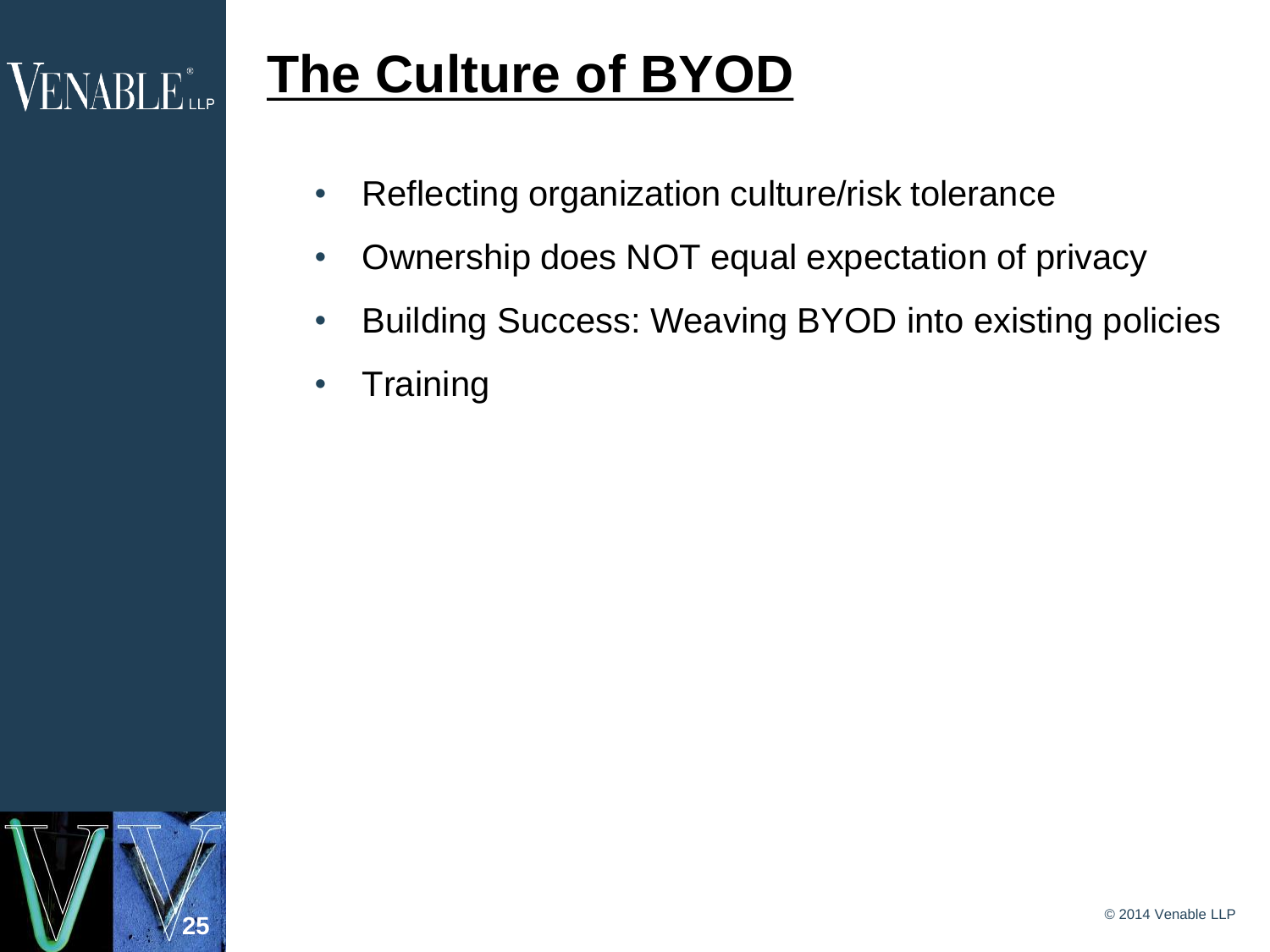#### **The Culture of BYOD**  $\rm VENABI$   $\rm E_{\rm up}^{\ast}$

- Reflecting organization culture/risk tolerance
- Ownership does NOT equal expectation of privacy
- Building Success: Weaving BYOD into existing policies
- Training

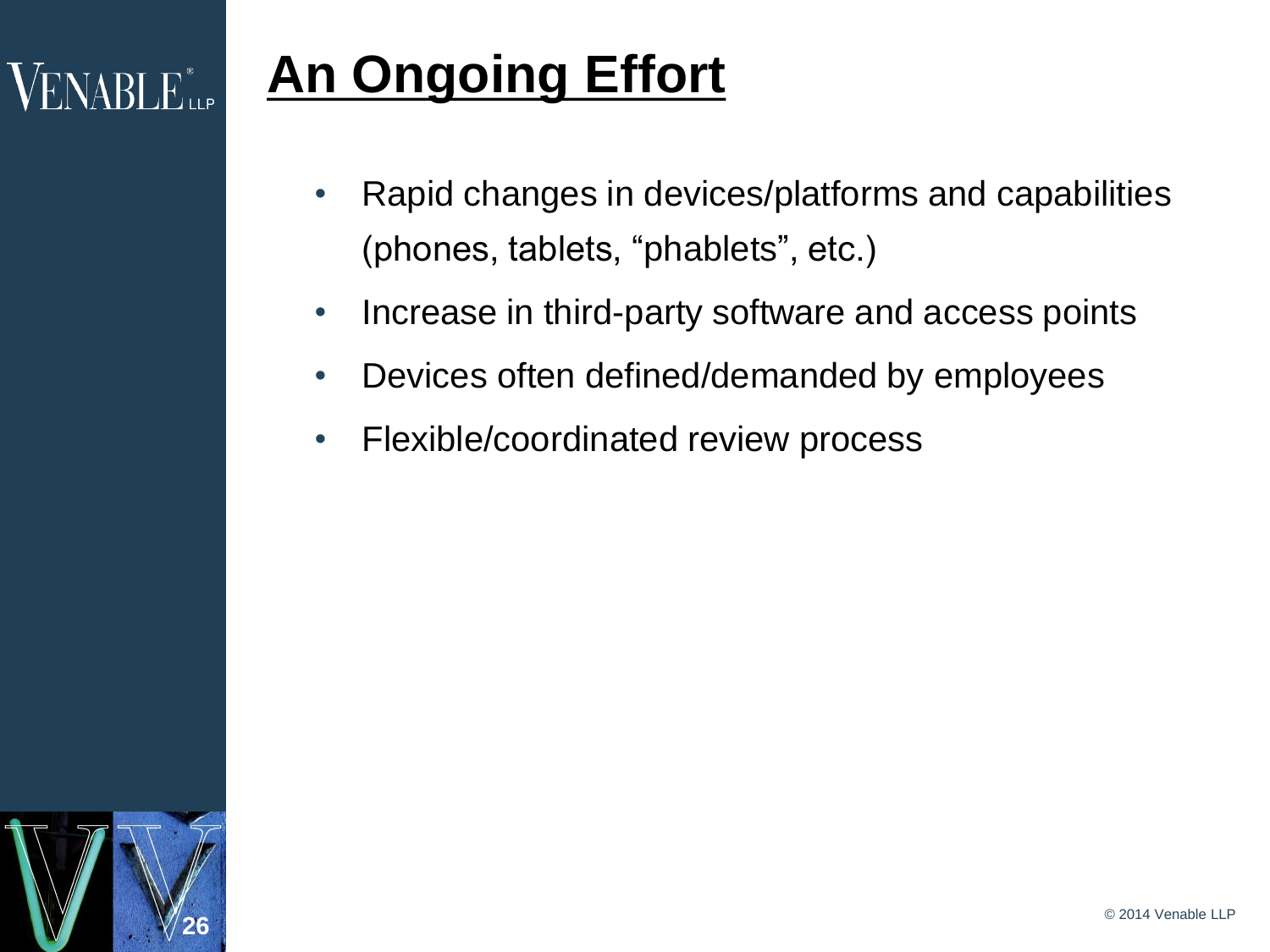## $\rm VENABI$   $\rm E_{\rm up}^*$

# **An Ongoing Effort**

- Rapid changes in devices/platforms and capabilities (phones, tablets, "phablets", etc.)
- Increase in third-party software and access points
- Devices often defined/demanded by employees
- Flexible/coordinated review process

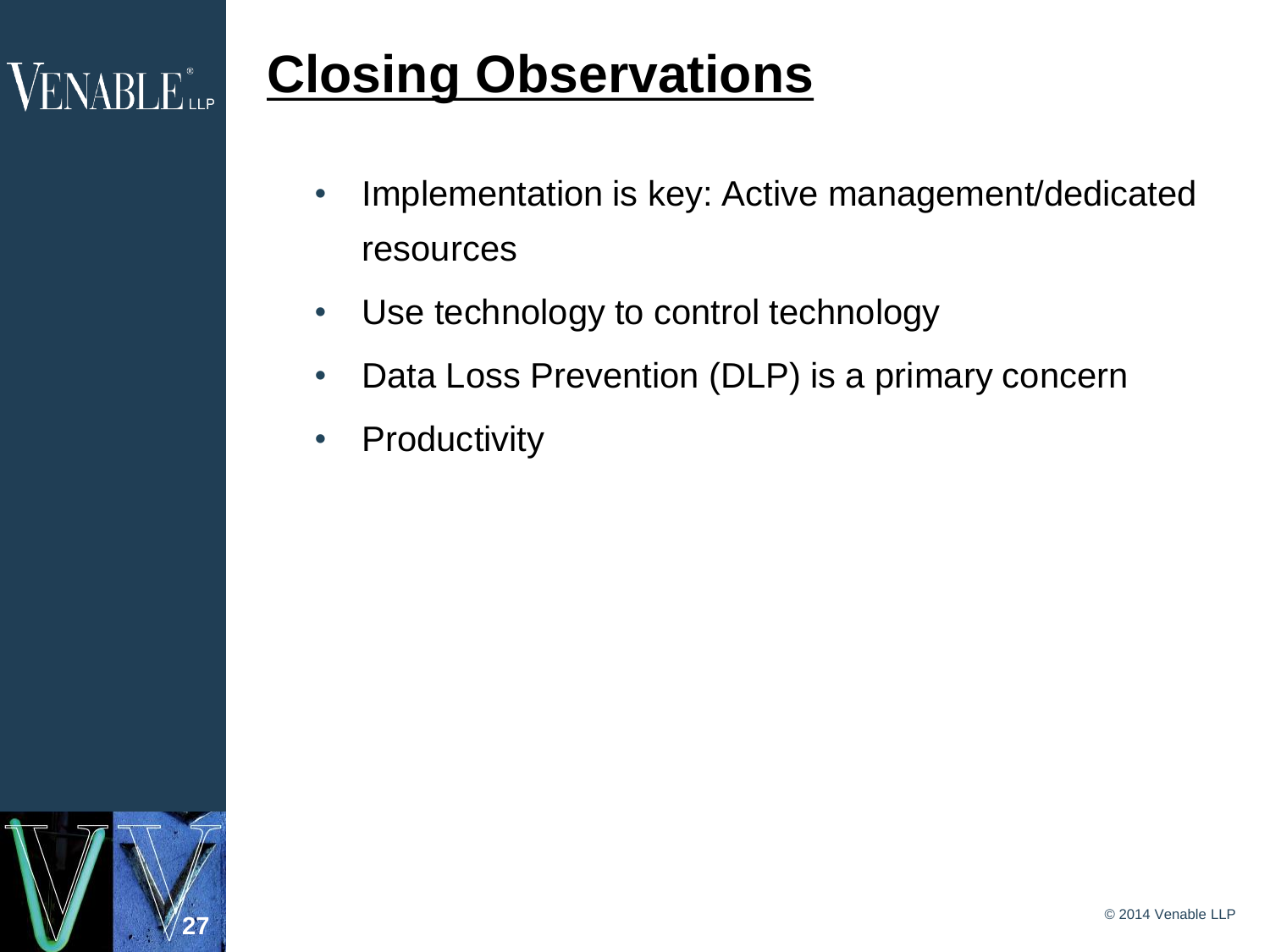## **VENABLE** LLP

## **Closing Observations**

- Implementation is key: Active management/dedicated resources
- Use technology to control technology
- Data Loss Prevention (DLP) is a primary concern
- Productivity

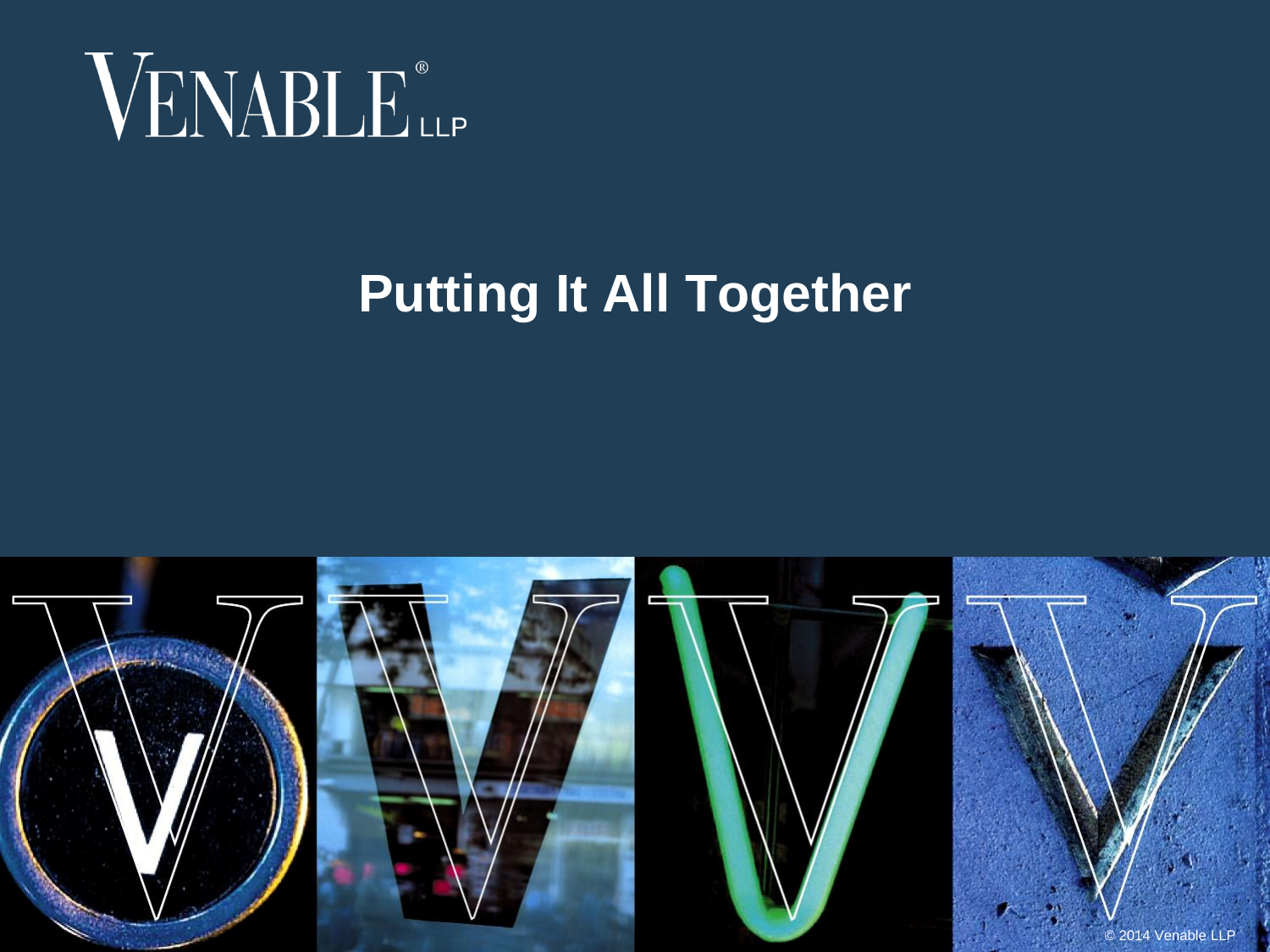

## **Putting It All Together**

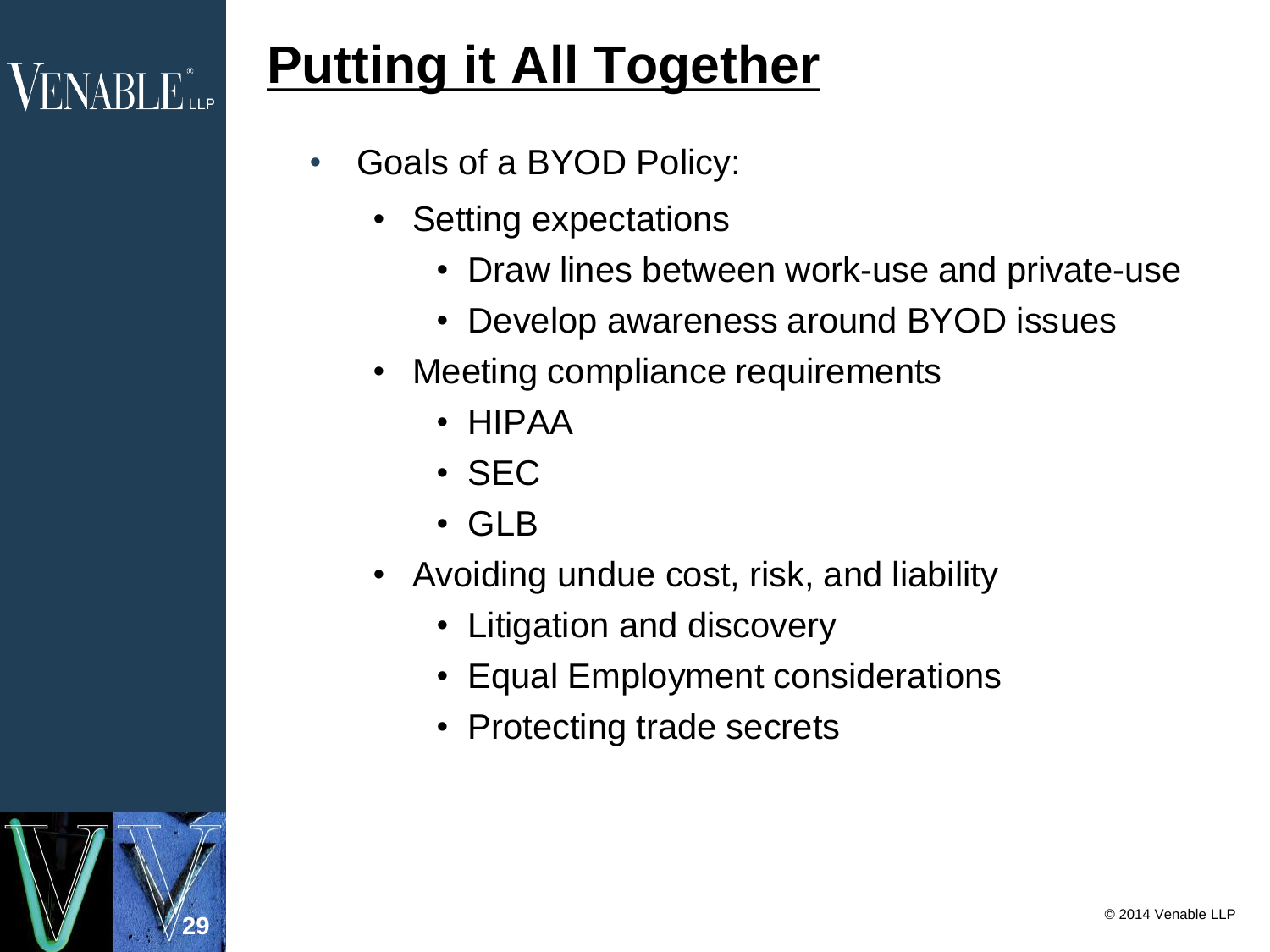# $\mathsf{VENABI}\, \mathsf{E}_{\mathsf{up}}^*$

**29**

# **Putting it All Together**

- Goals of a BYOD Policy:
	- Setting expectations
		- Draw lines between work-use and private-use
		- Develop awareness around BYOD issues
	- Meeting compliance requirements
		- HIPAA
		- SEC
		- GLB
	- Avoiding undue cost, risk, and liability
		- Litigation and discovery
		- Equal Employment considerations
		- Protecting trade secrets

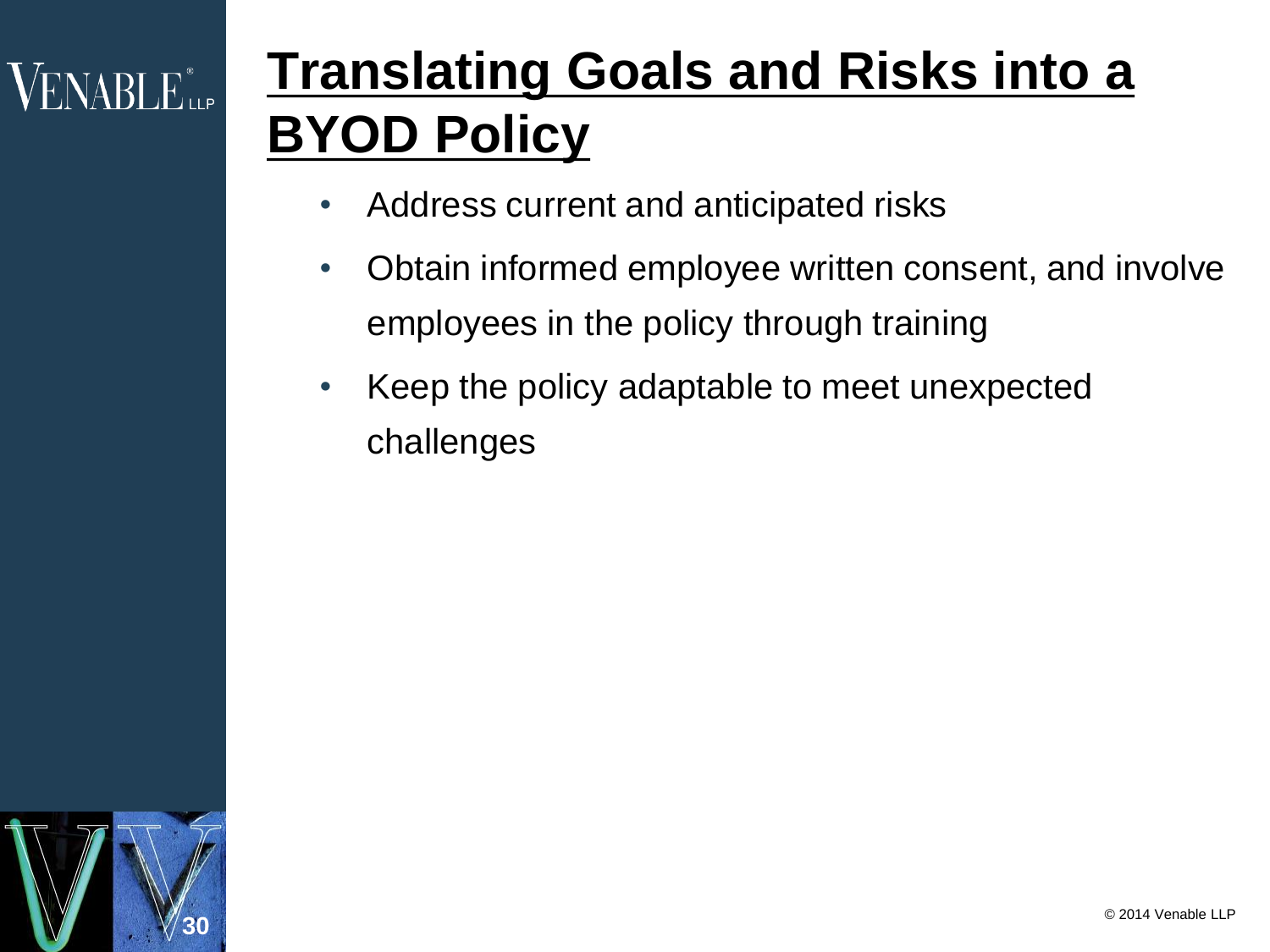## $\rm VENABI$   $E_{\rm{up}}^*$

# **Translating Goals and Risks into a BYOD Policy**

- Address current and anticipated risks
- Obtain informed employee written consent, and involve employees in the policy through training
- Keep the policy adaptable to meet unexpected challenges

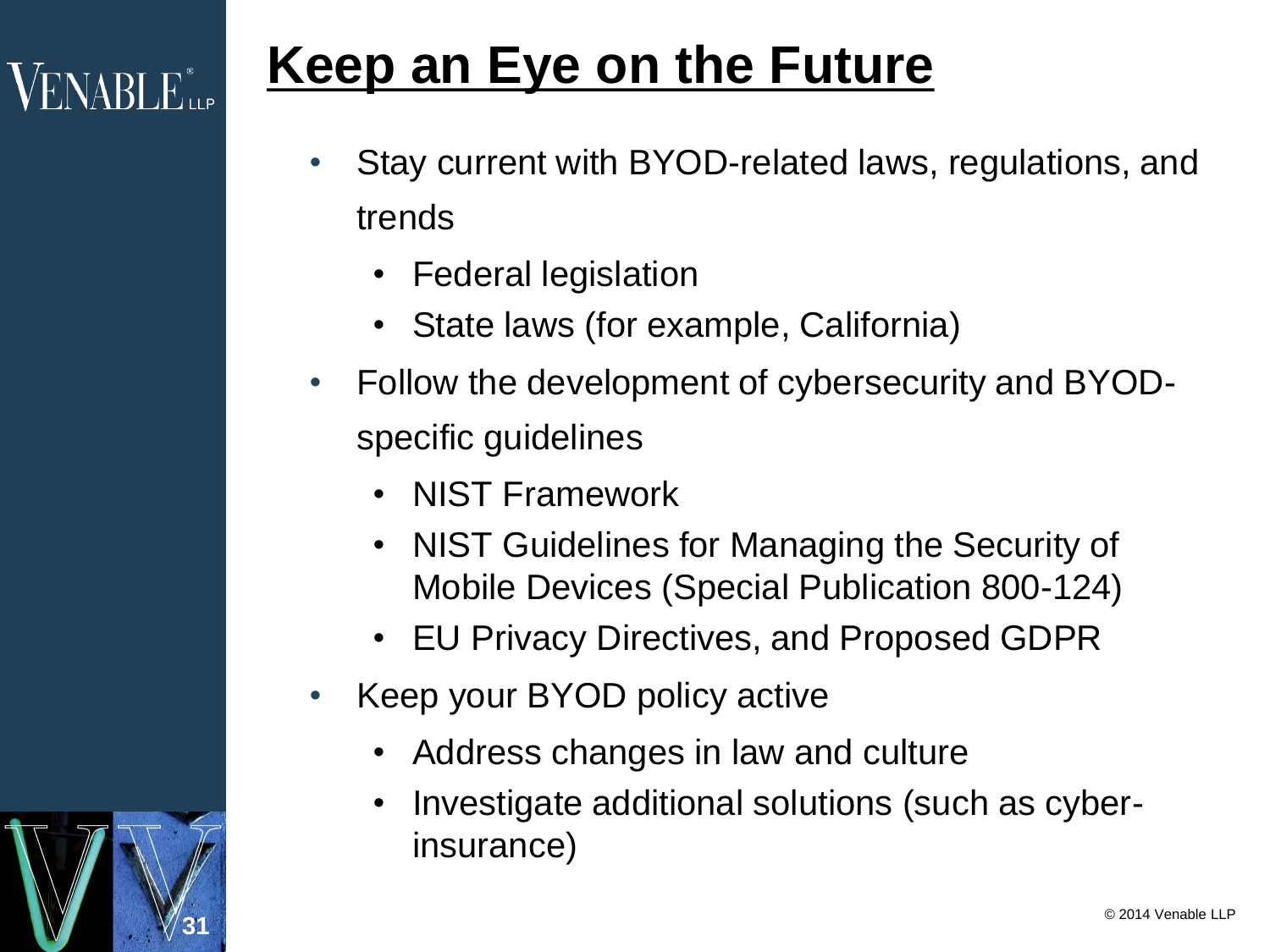## **Keep an Eye on the Future**

- Stay current with BYOD-related laws, regulations, and trends
	- Federal legislation
	- State laws (for example, California)
- Follow the development of cybersecurity and BYODspecific guidelines
	- NIST Framework
	- NIST Guidelines for Managing the Security of Mobile Devices (Special Publication 800-124)
	- EU Privacy Directives, and Proposed GDPR
- Keep your BYOD policy active

**31**

**VENABLE** LLP

- Address changes in law and culture
- Investigate additional solutions (such as cyberinsurance)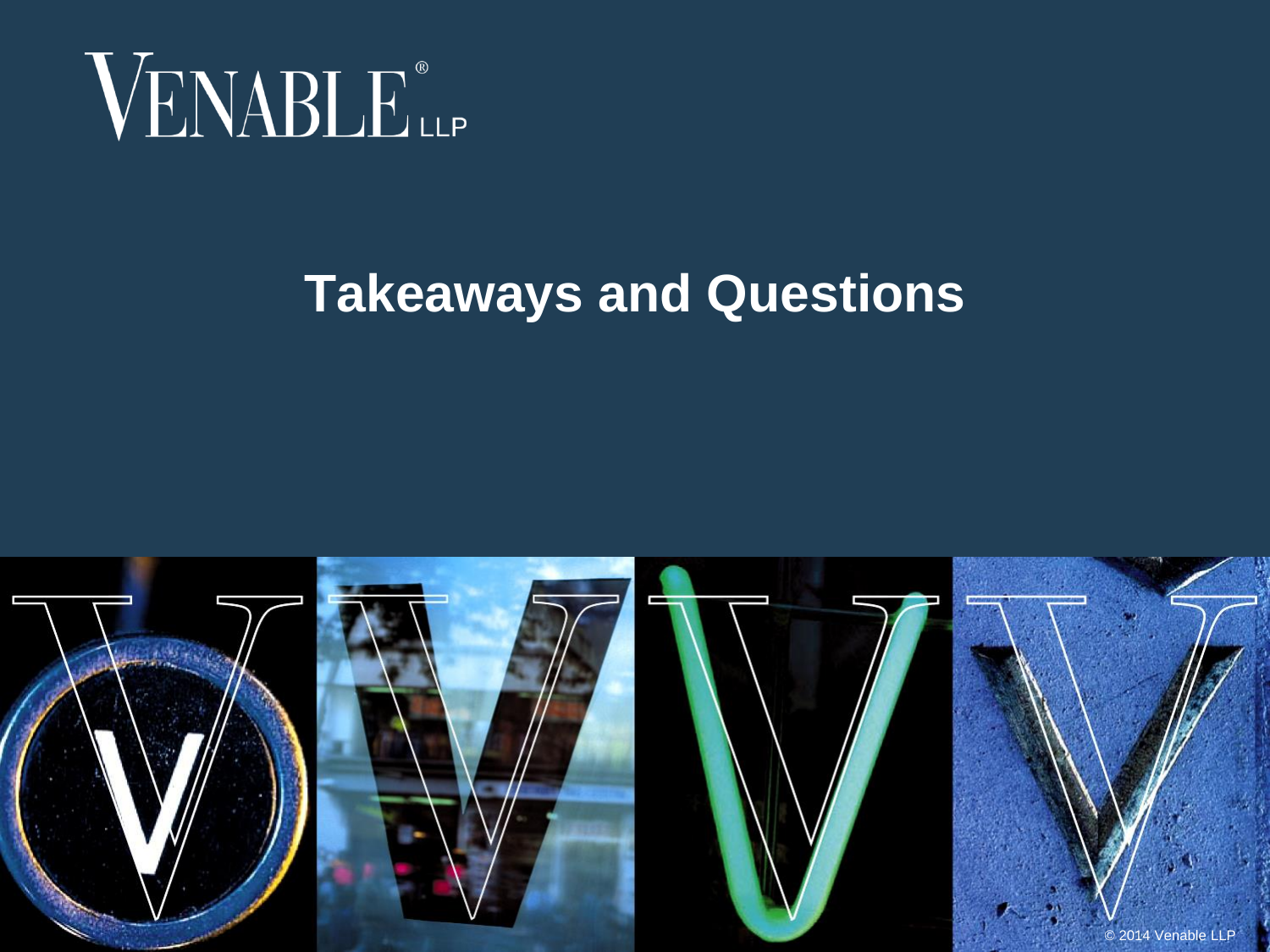

#### **Takeaways and Questions**

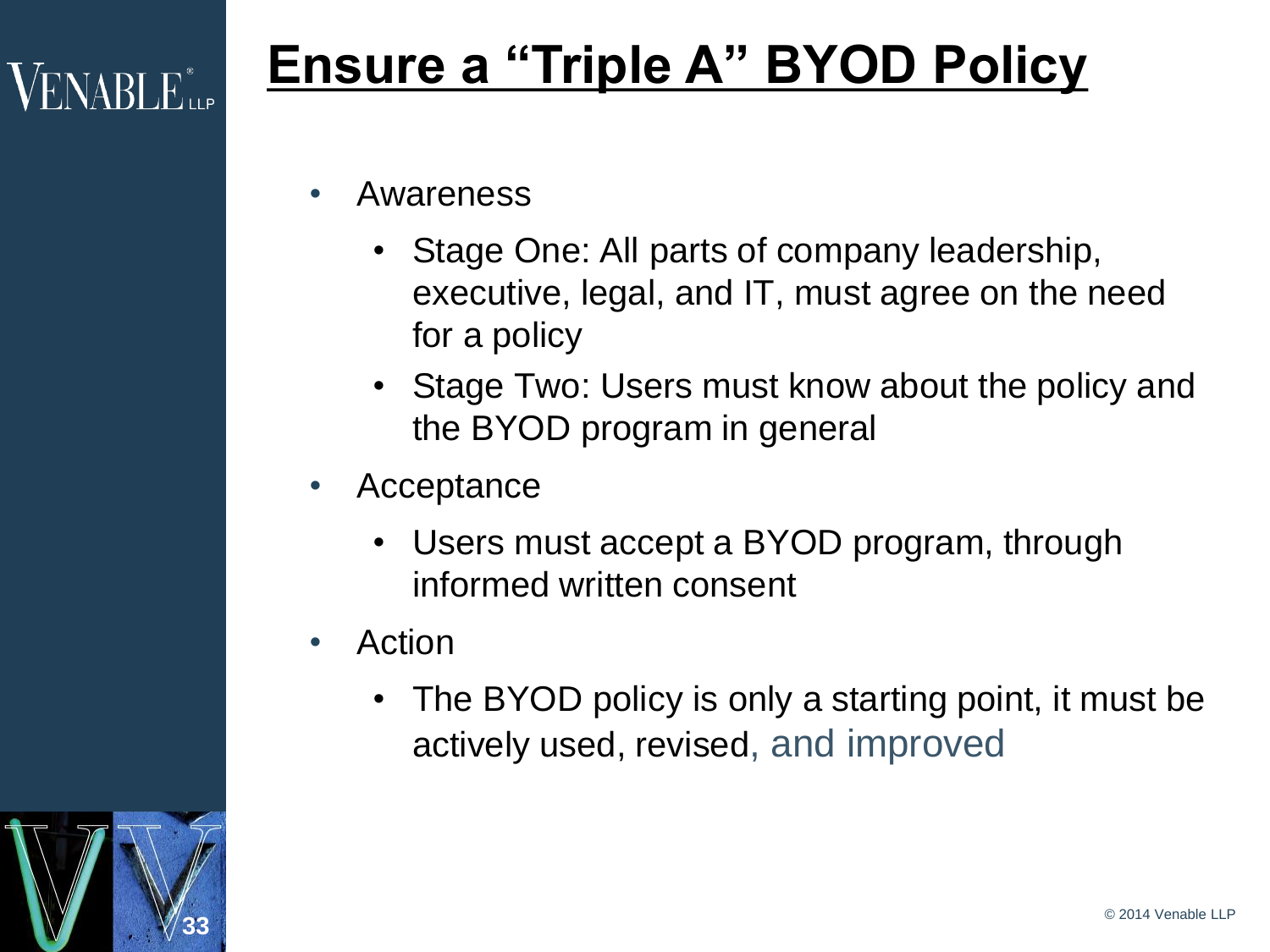## **Ensure a "Triple A" BYOD Policy**

- Awareness
	- Stage One: All parts of company leadership, executive, legal, and IT, must agree on the need for a policy
	- Stage Two: Users must know about the policy and the BYOD program in general
- Acceptance
	- Users must accept a BYOD program, through informed written consent
- Action
	- The BYOD policy is only a starting point, it must be actively used, revised, and improved



**VENABLE** LLP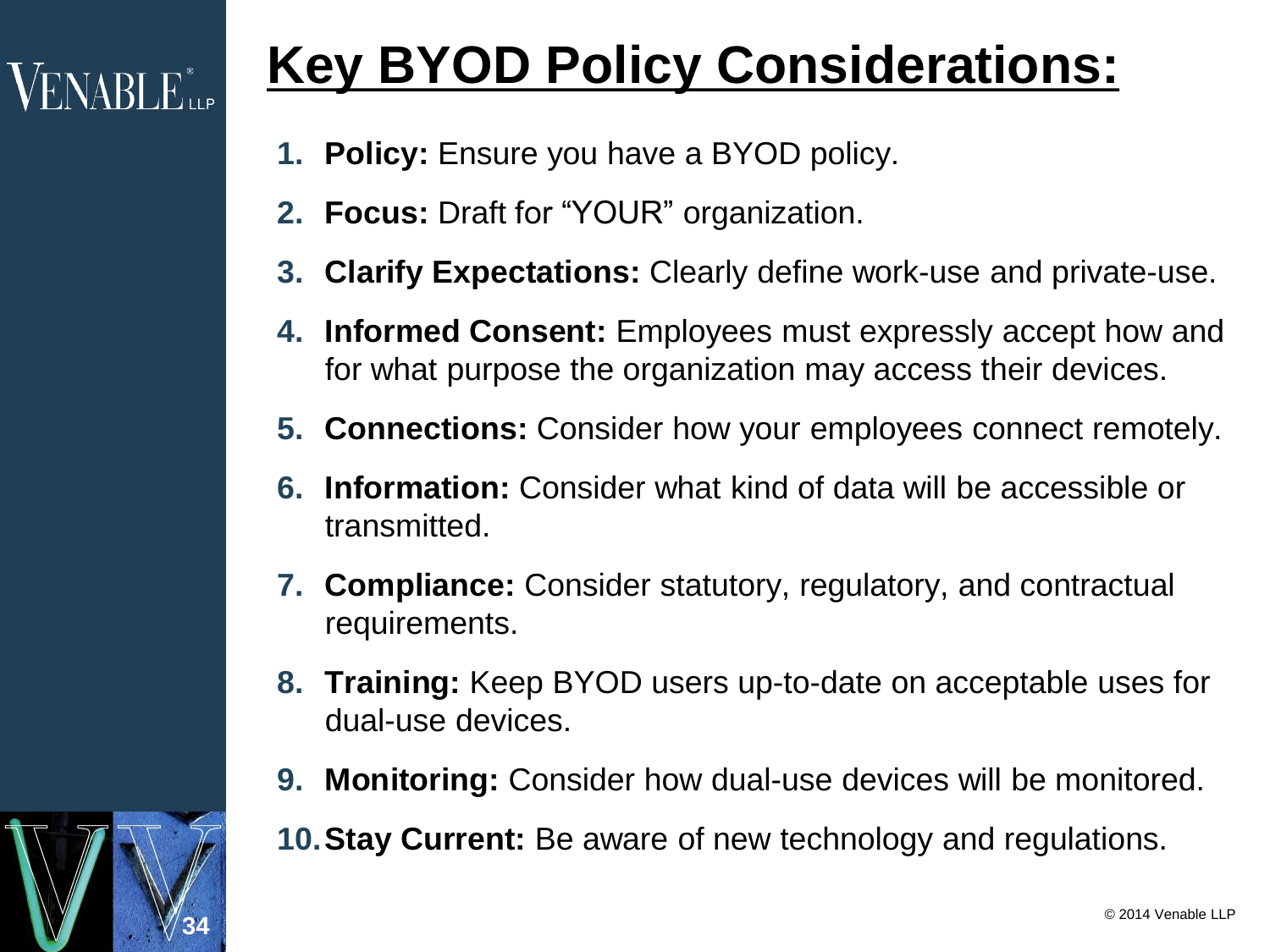# **VENABLE** LLP

# **Key BYOD Policy Considerations:**

- **1. Policy:** Ensure you have a BYOD policy.
- **2. Focus:** Draft for "YOUR" organization.
- **3. Clarify Expectations:** Clearly define work-use and private-use.
- **4. Informed Consent:** Employees must expressly accept how and for what purpose the organization may access their devices.
- **5. Connections:** Consider how your employees connect remotely.
- **6. Information:** Consider what kind of data will be accessible or transmitted.
- **7. Compliance:** Consider statutory, regulatory, and contractual requirements.
- **8. Training:** Keep BYOD users up-to-date on acceptable uses for dual-use devices.
- **9. Monitoring:** Consider how dual-use devices will be monitored.
- **10.Stay Current:** Be aware of new technology and regulations.